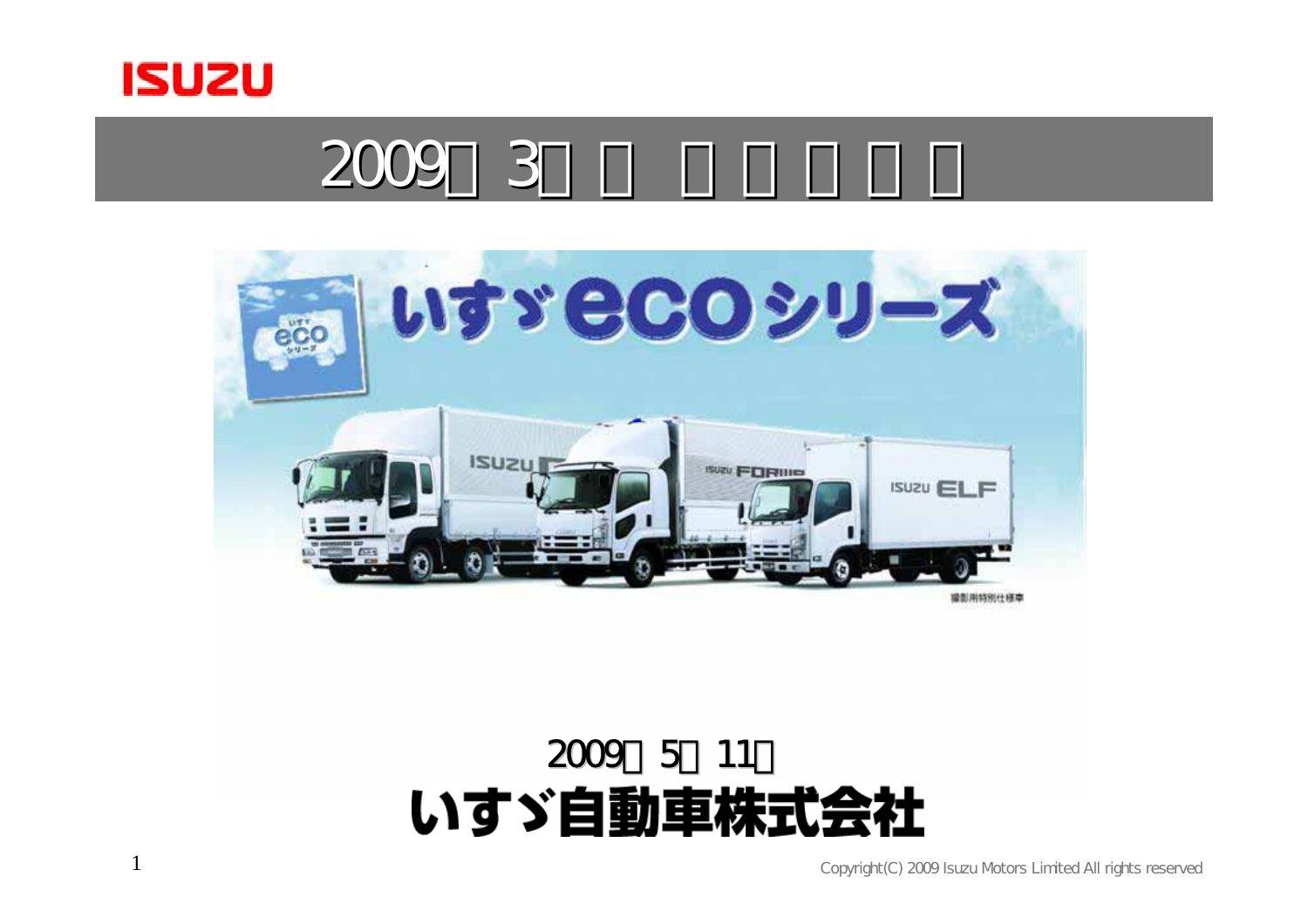

2009 3



撮影用特别仕様車

### 2009 5 11 いすゞ自動車株式会社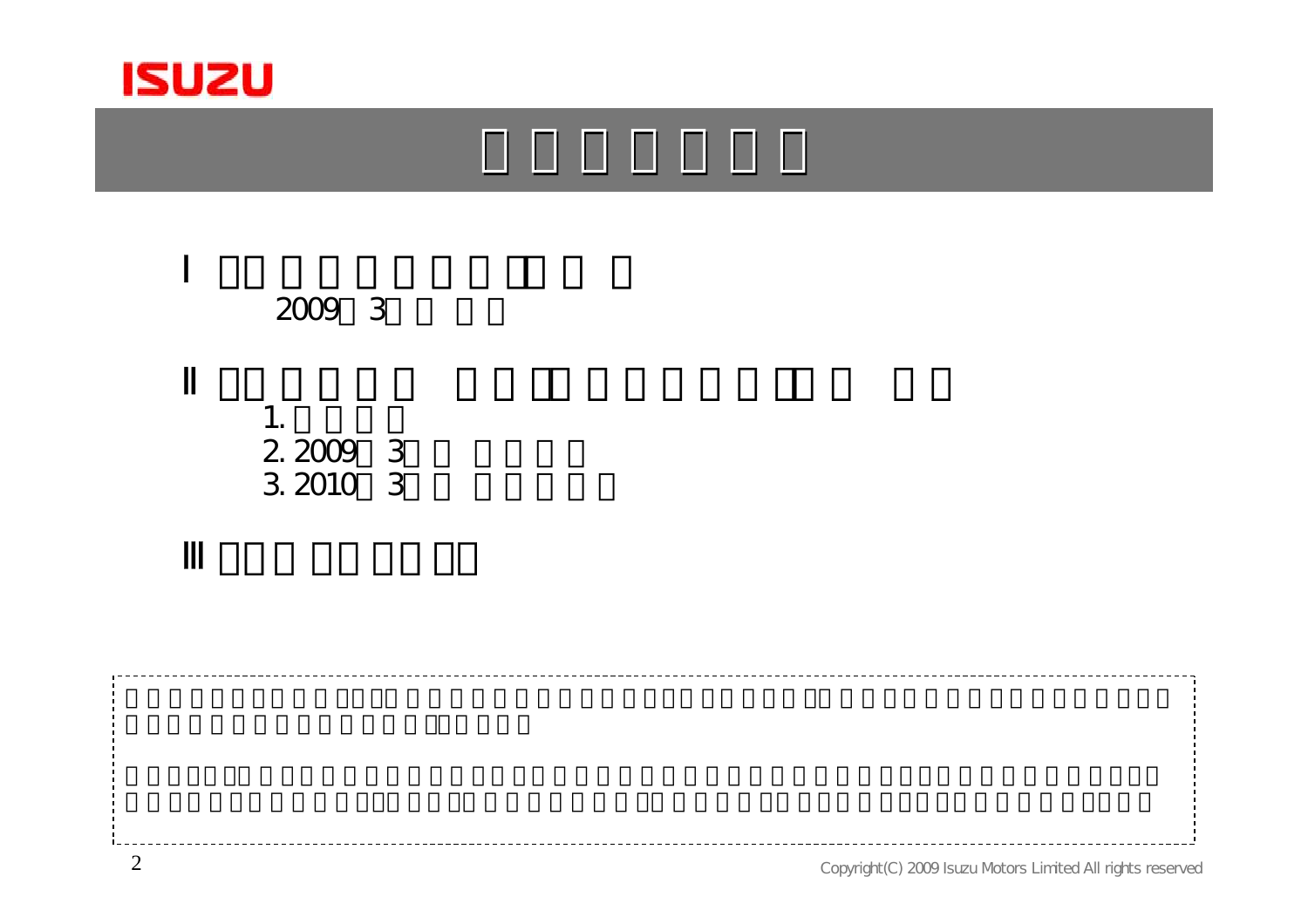

### 2009年3月期

 $1.$ 2. 2009 3 3. 2010 3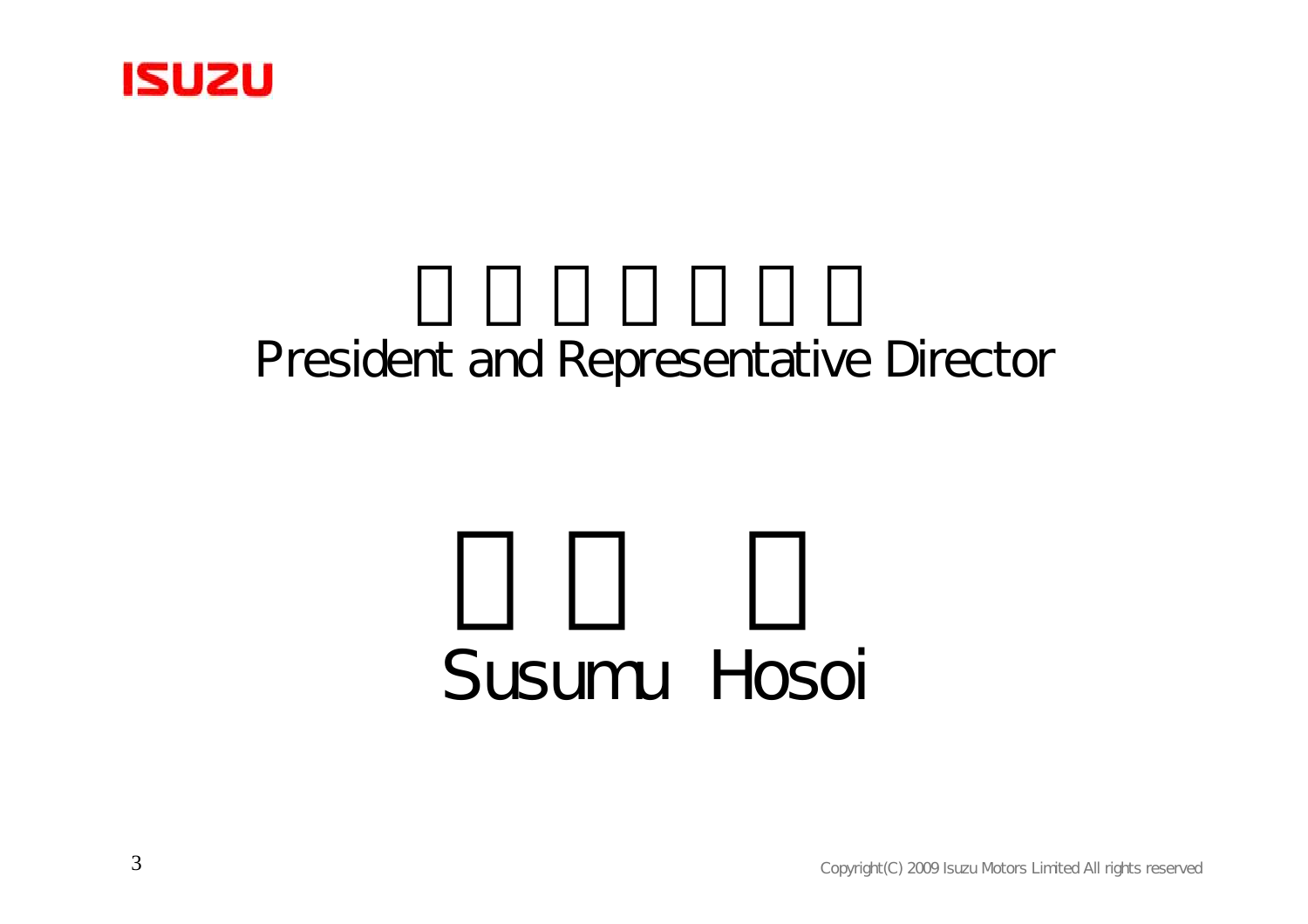

### President and Representative Director

## Susumu Hosoi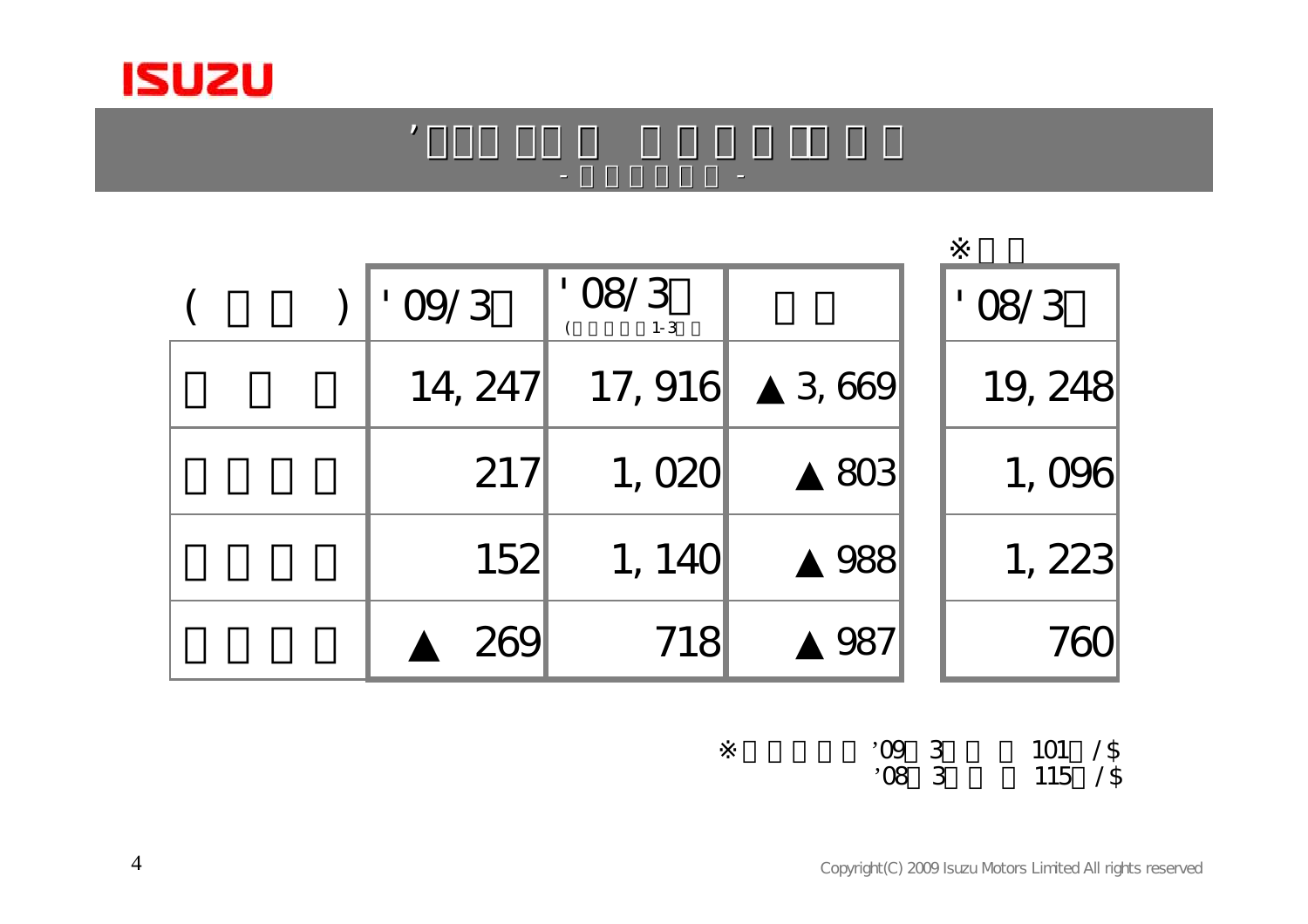

| 09/3    | 08/3<br>$1 - 3$ |        | $'$ 08/3 |
|---------|-----------------|--------|----------|
| 14, 247 | 17, 916         | 3, 669 | 19, 248  |
| 217     | 1,020           | 803    | 1,096    |
| 152     | 1, 140          | 988    | 1, 223   |
| 269     | 718             | 987    | 760      |

| $\sqrt{09}$ 3 | 101 / \$   |  |
|---------------|------------|--|
| $\sqrt{08}$ 3 | $115 \t/5$ |  |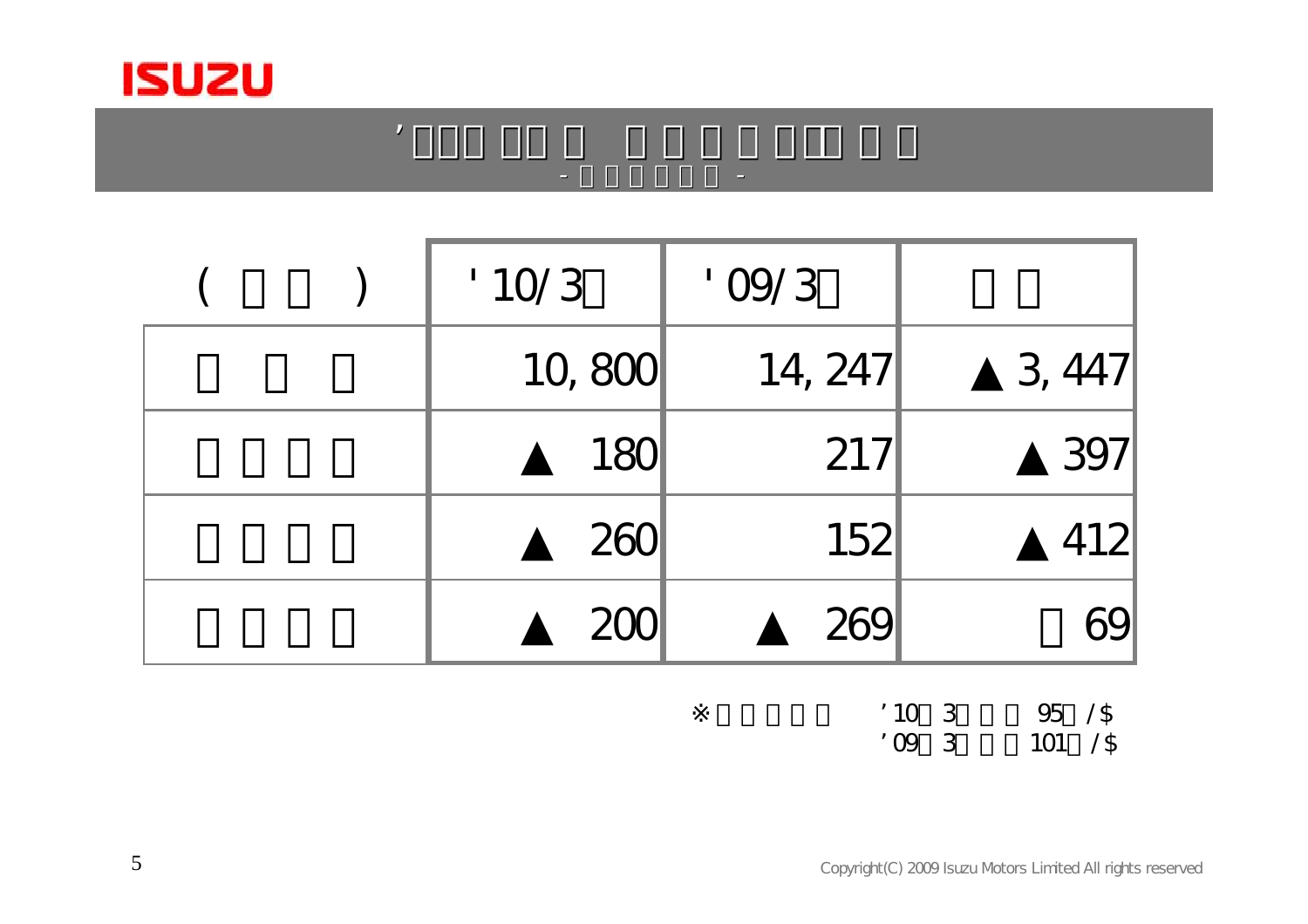

|  | 10/3   | $'$ 09/3 |        |
|--|--------|----------|--------|
|  | 10,800 | 14, 247  | 3, 447 |
|  | 180    | 217      | 397    |
|  | 260    | 152      | 412    |
|  | 20C    | 269      |        |

| 10 3         |          | 95/\$ |
|--------------|----------|-------|
| $O9 \quad 3$ | 101 / \$ |       |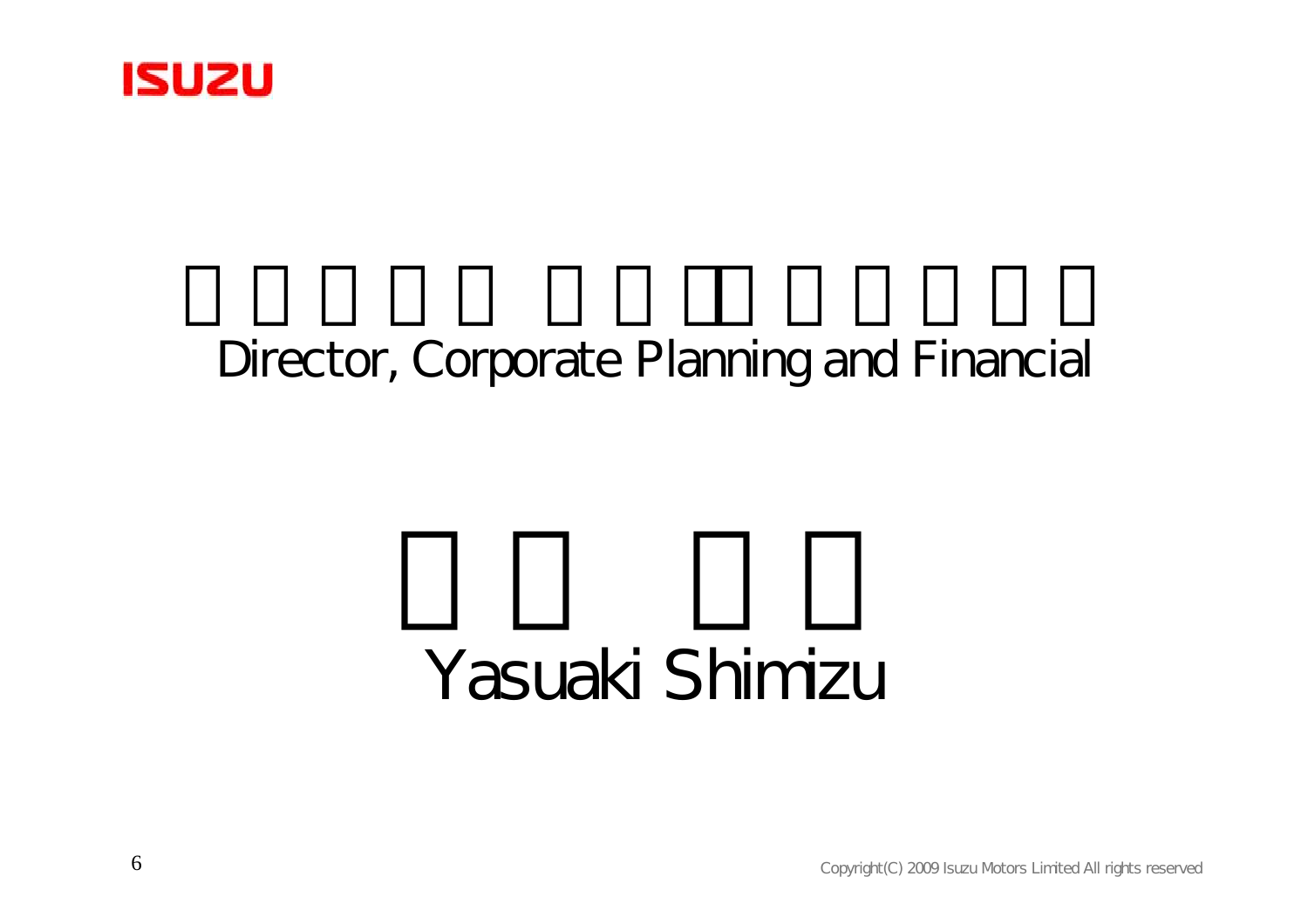

## Director, Corporate Planning and Financial

# Yasuaki Shimizu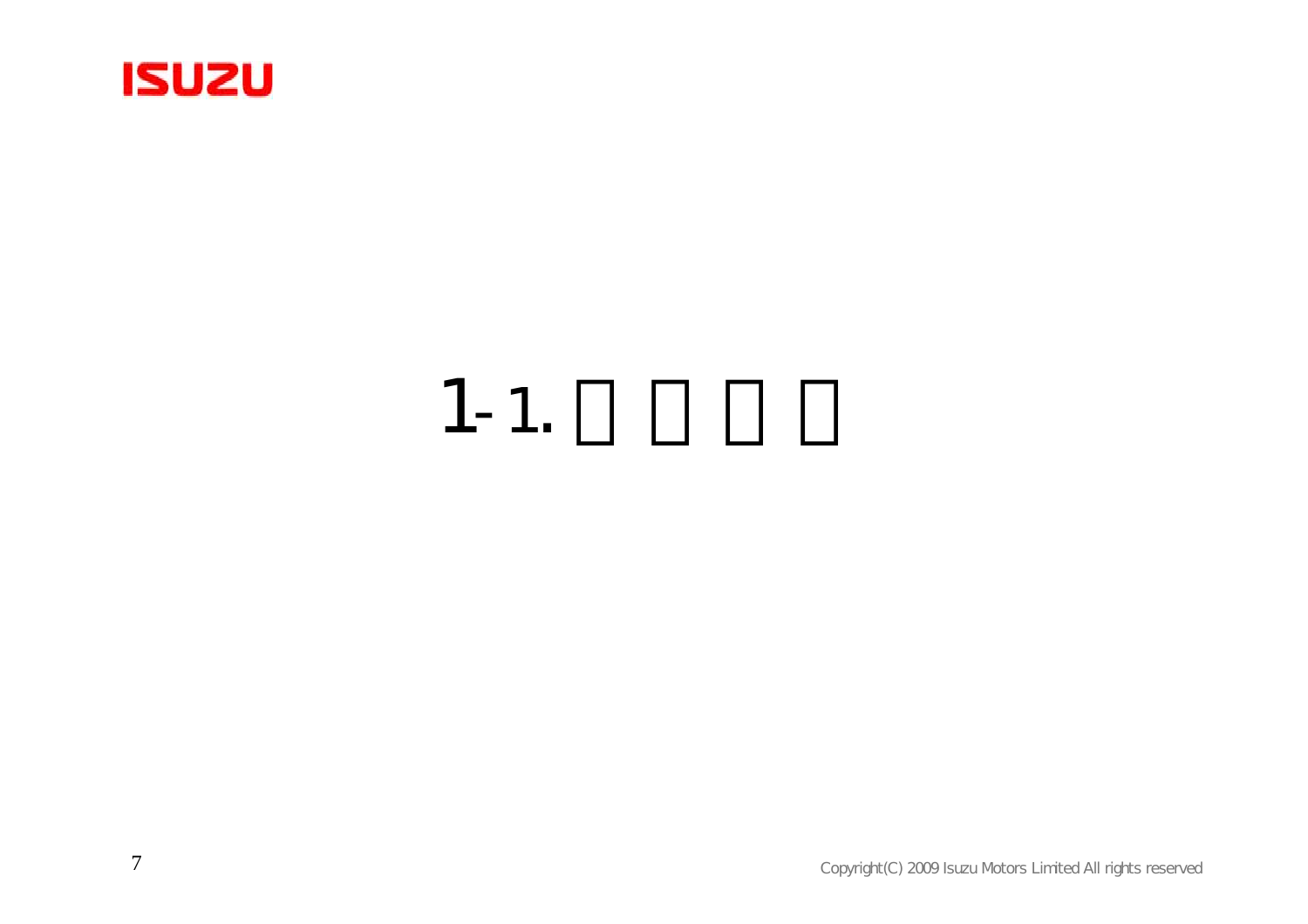

## $1 - 1.$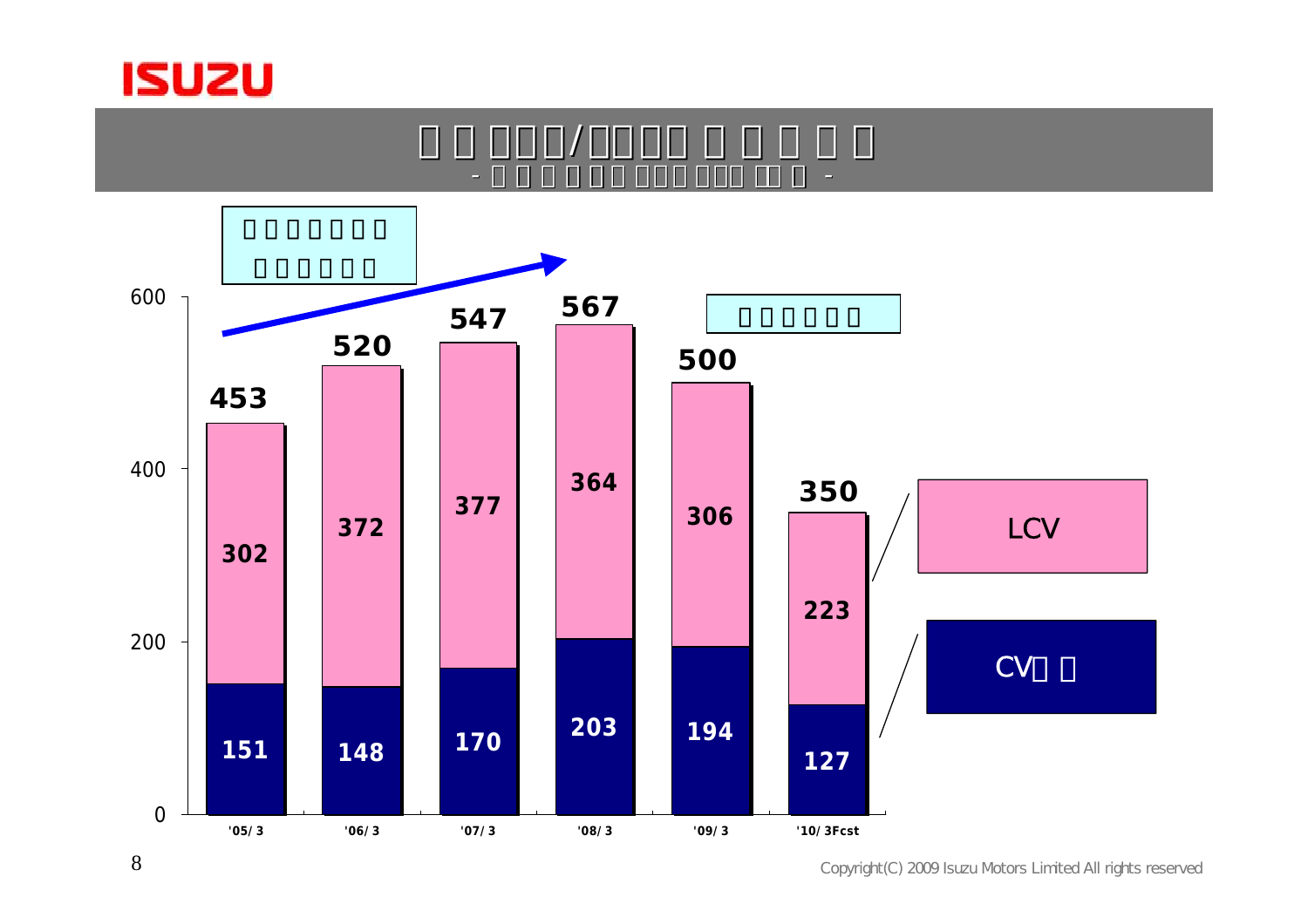#### **ISUZU**



/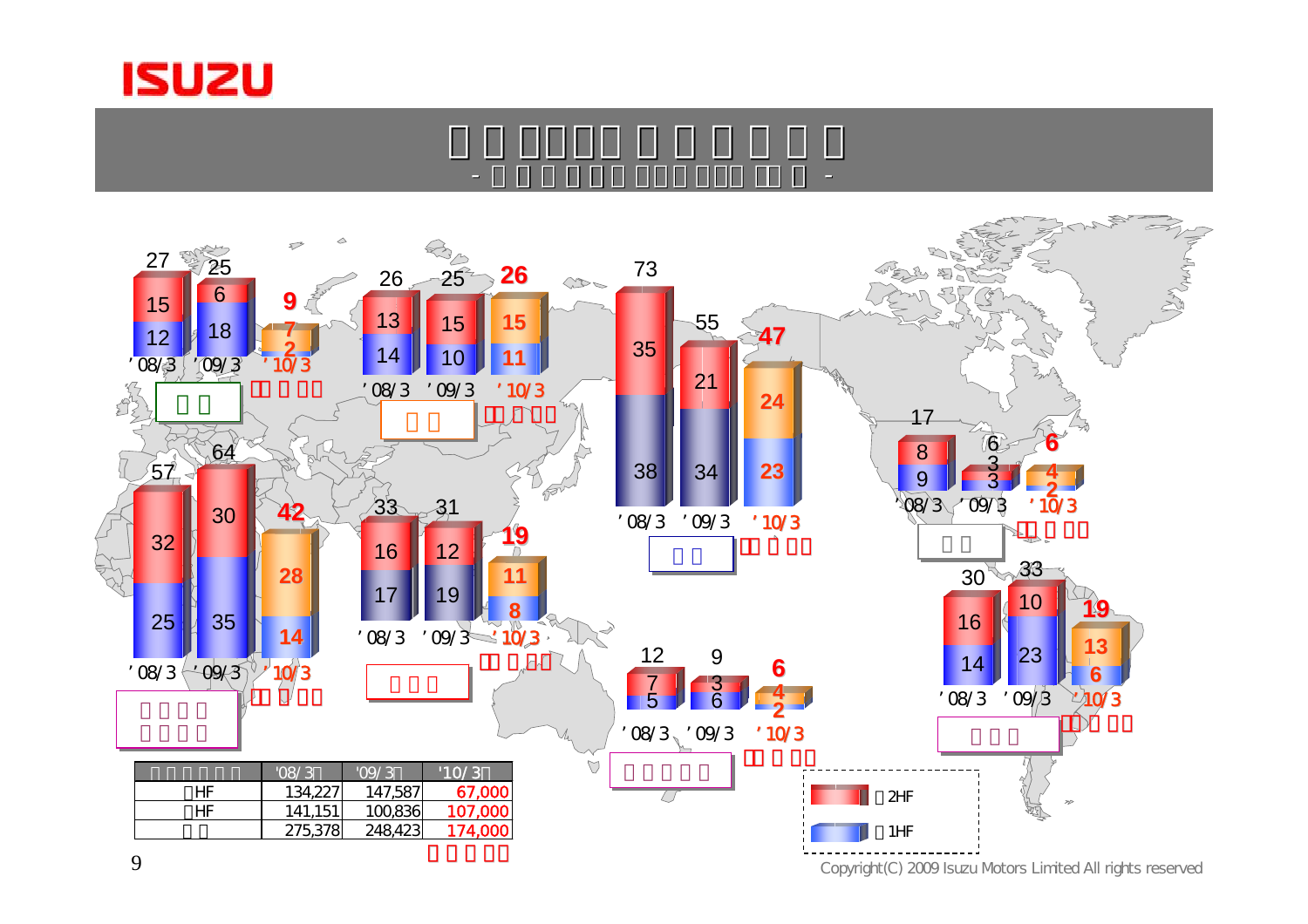

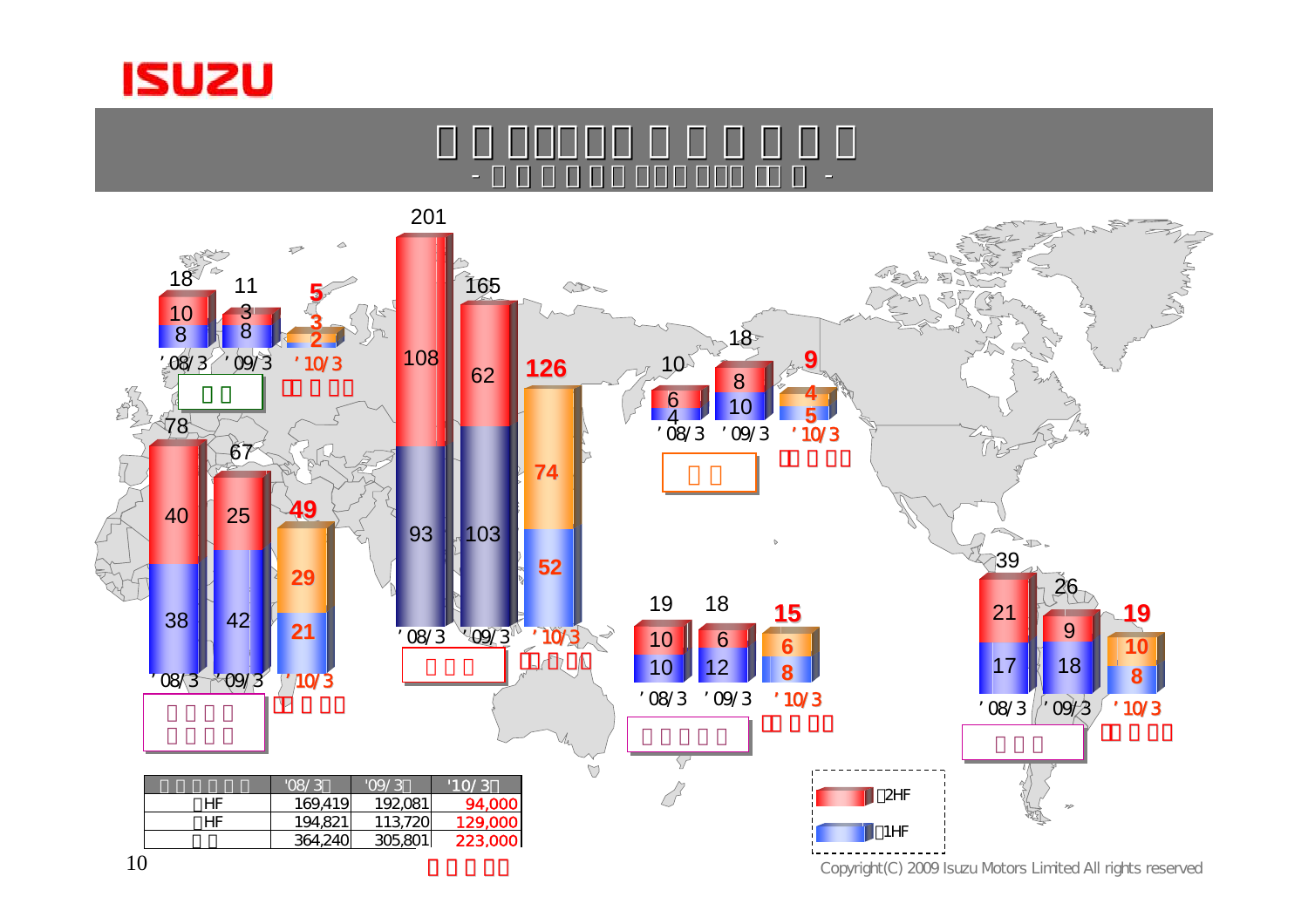#### **ISUZU**



-

-

Copyright(C) 2009 Isuzu Motors Limited All rights reserved

10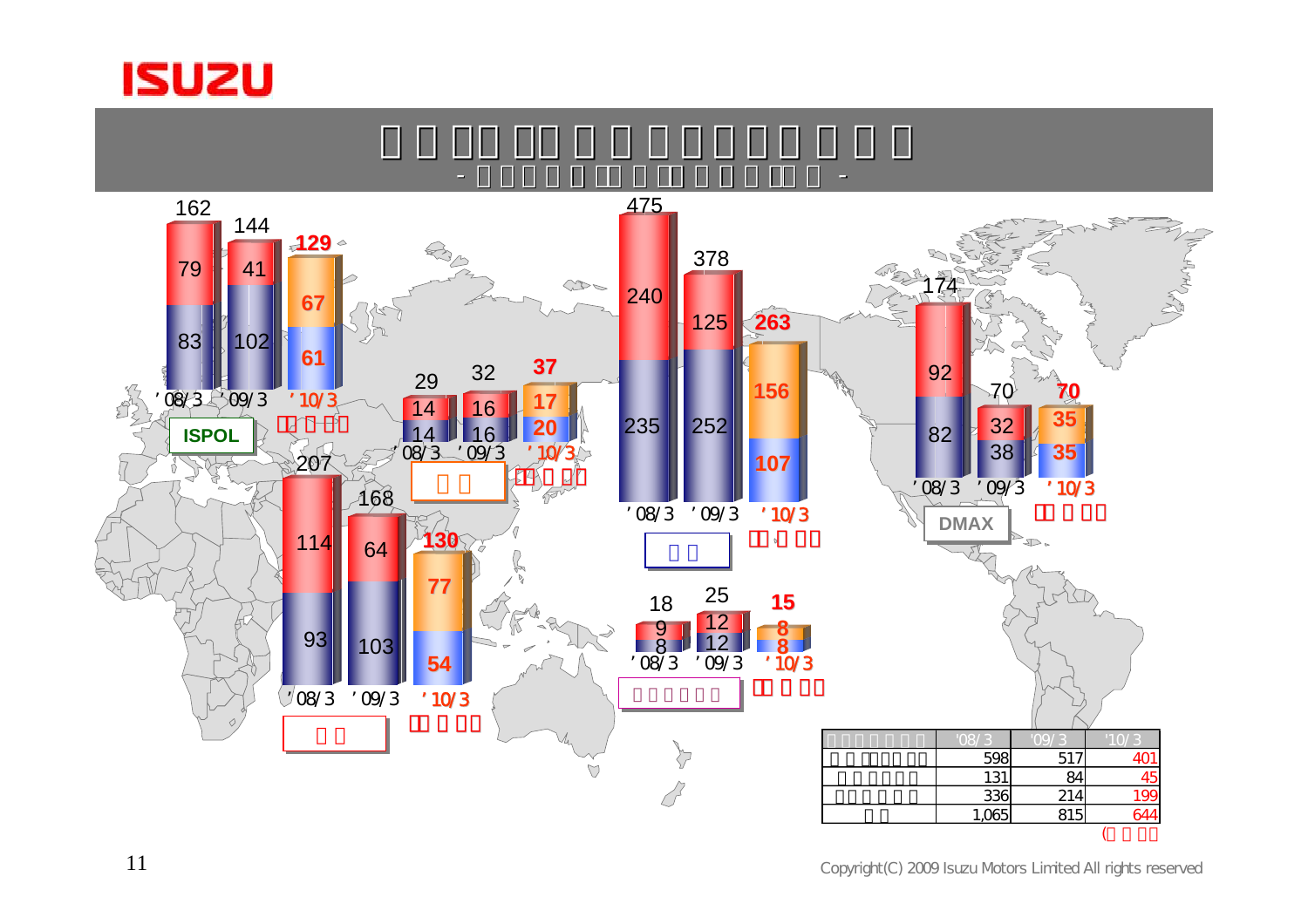

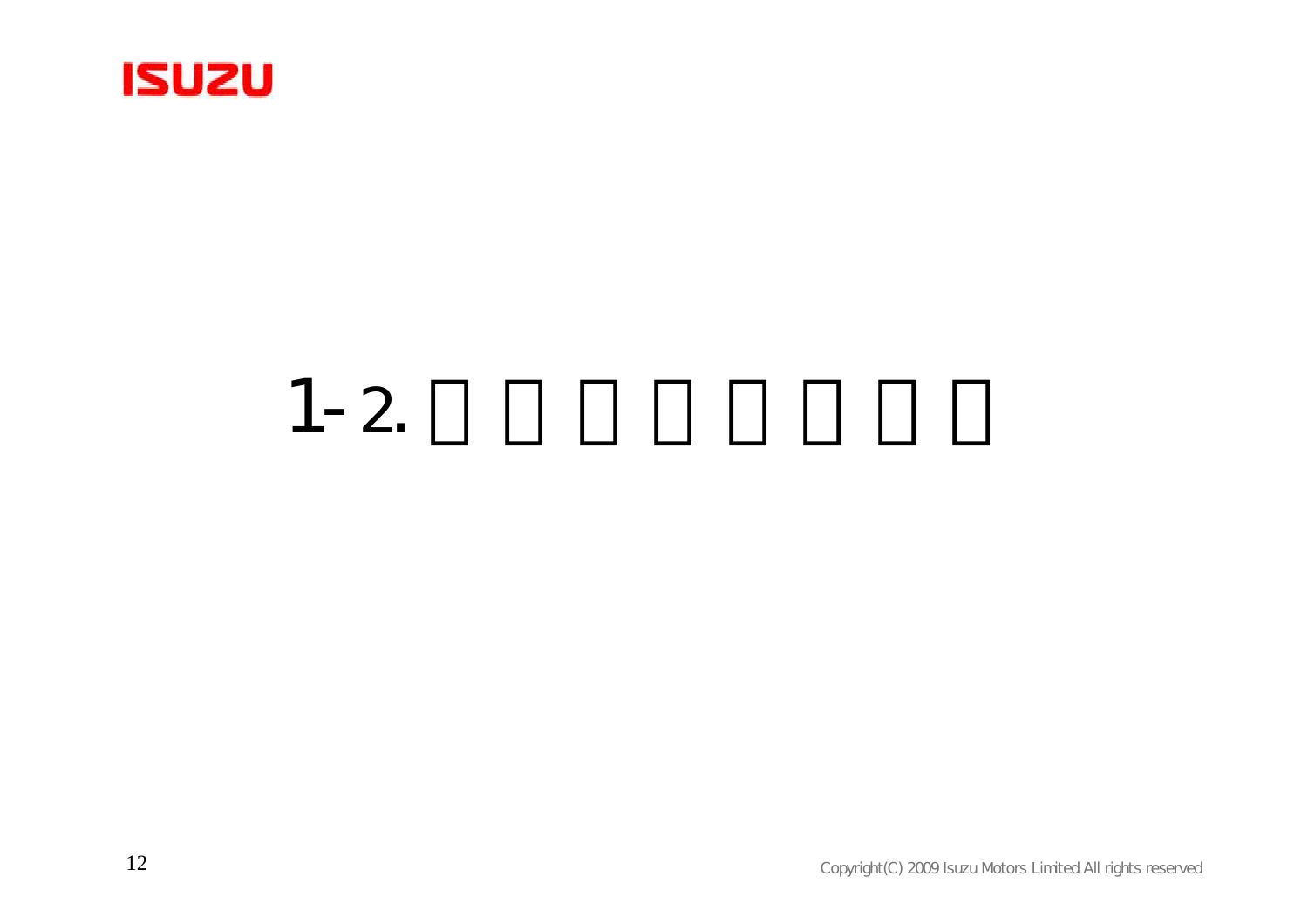

## $1 - 2.$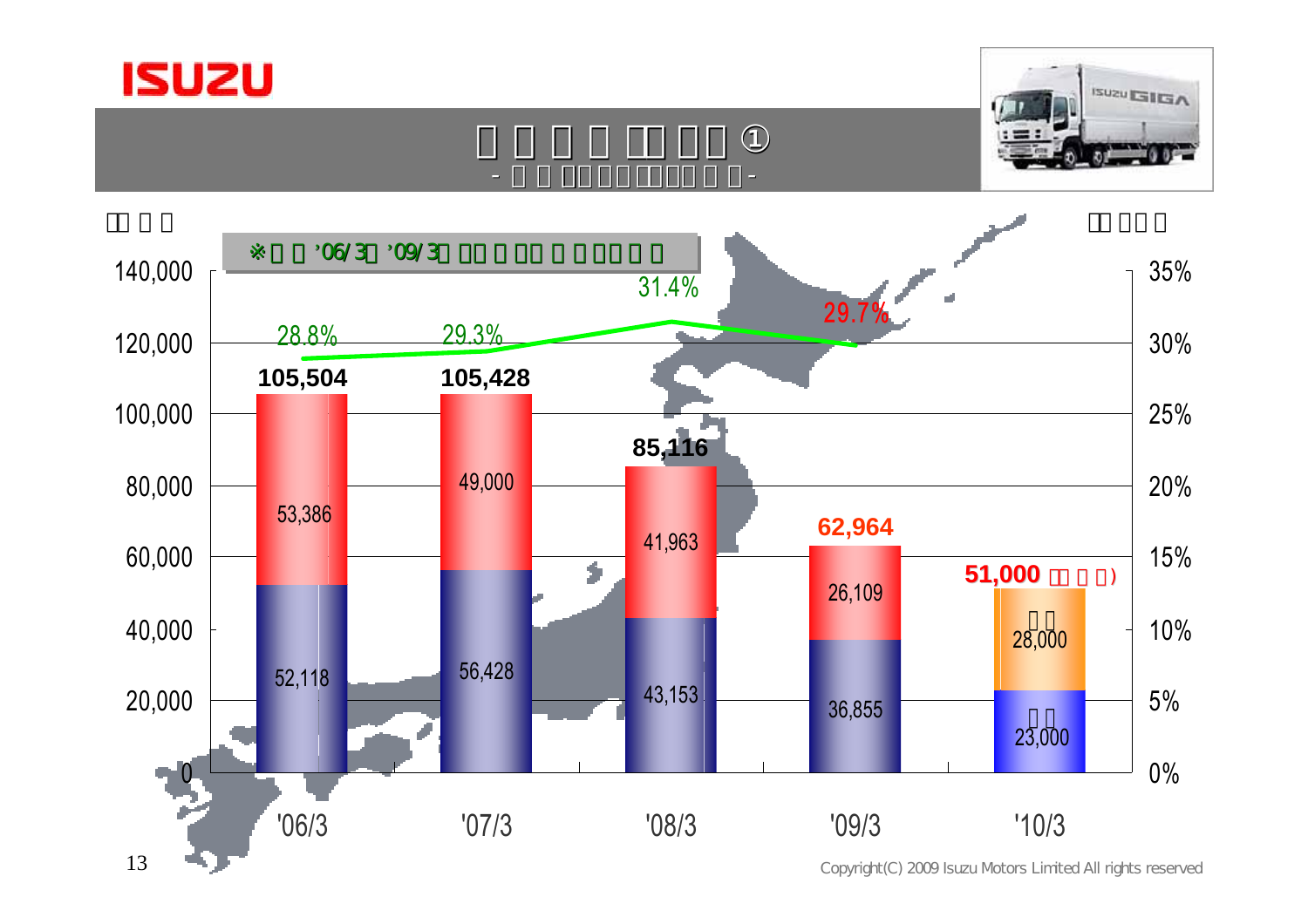





-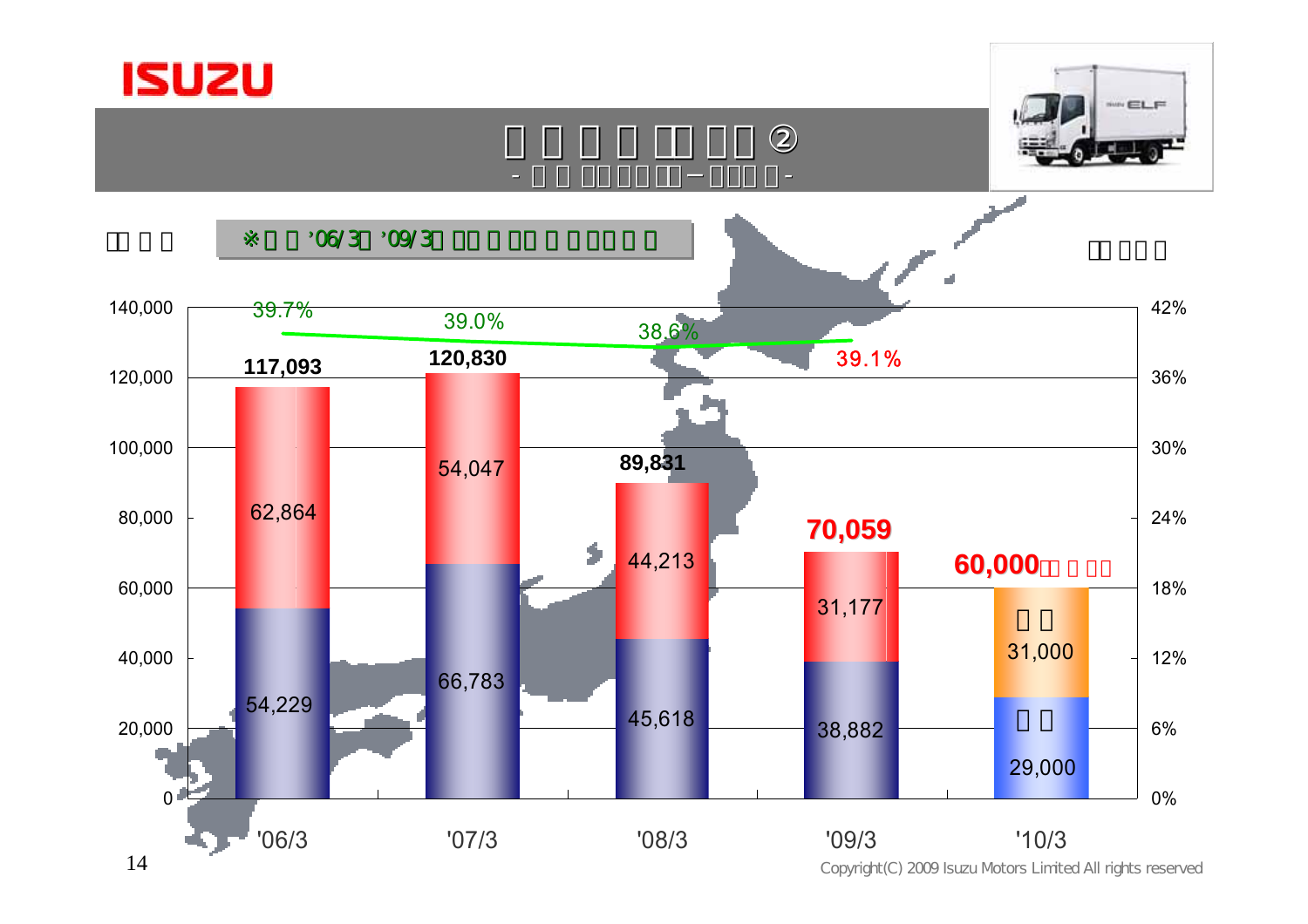





-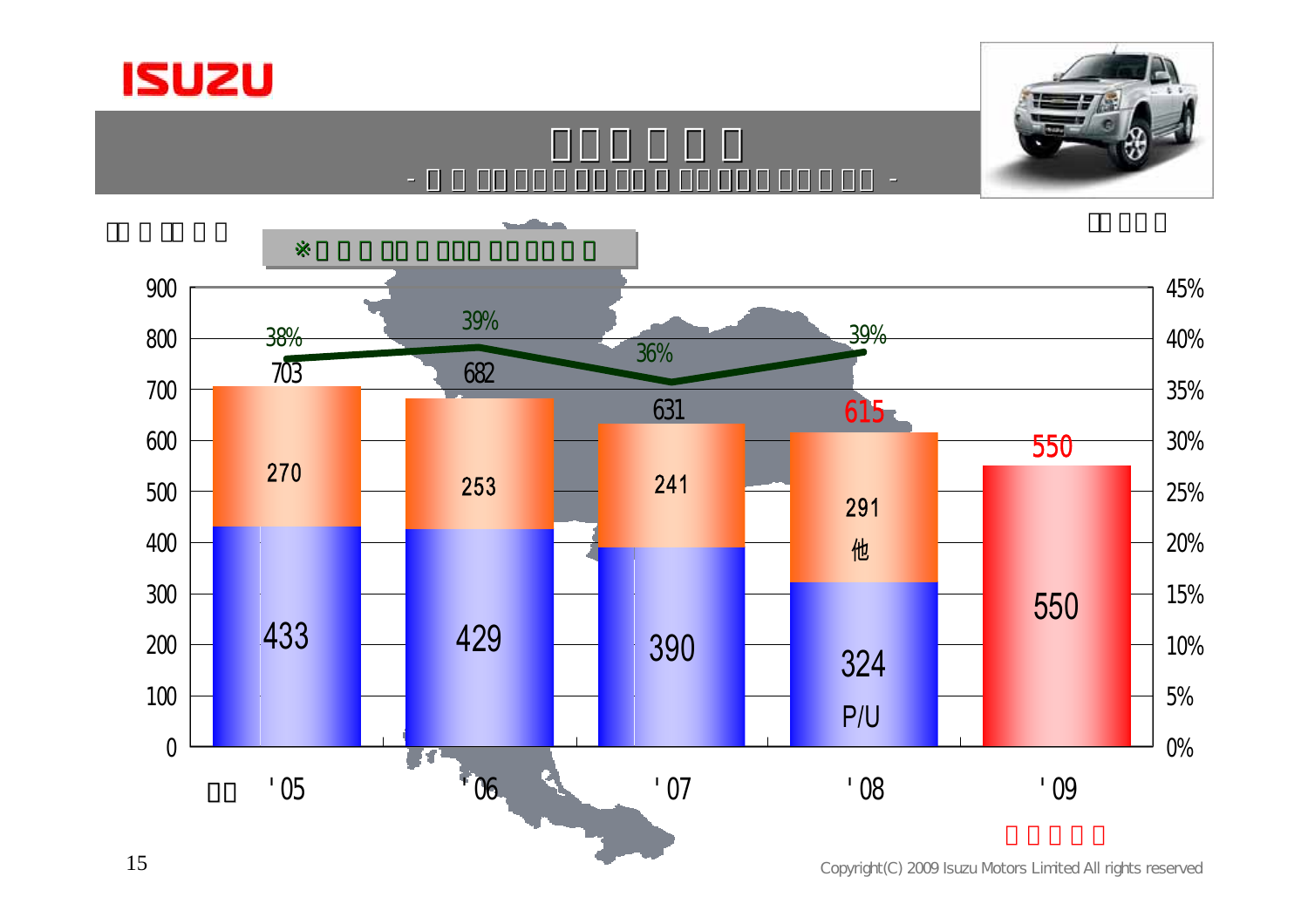



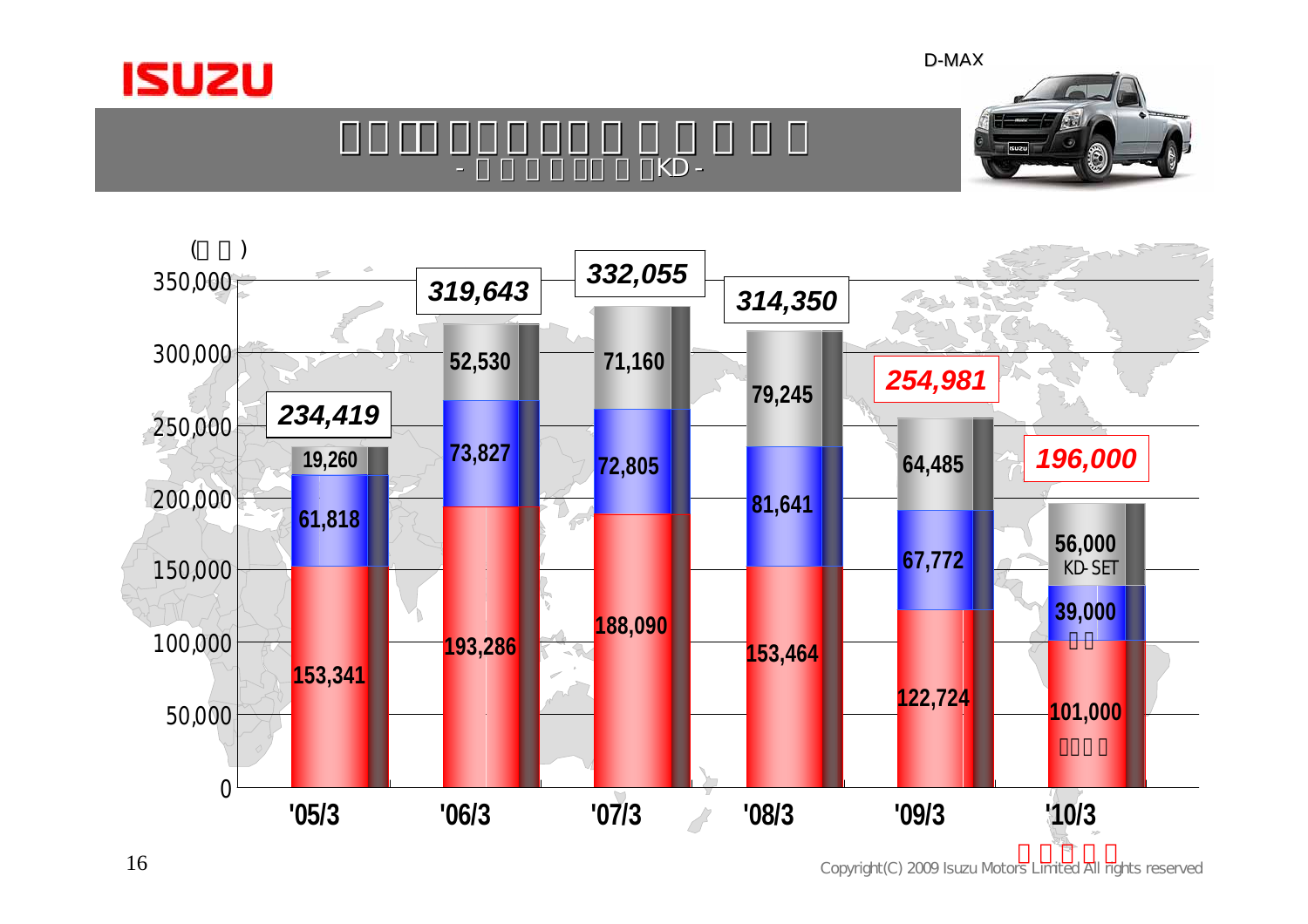

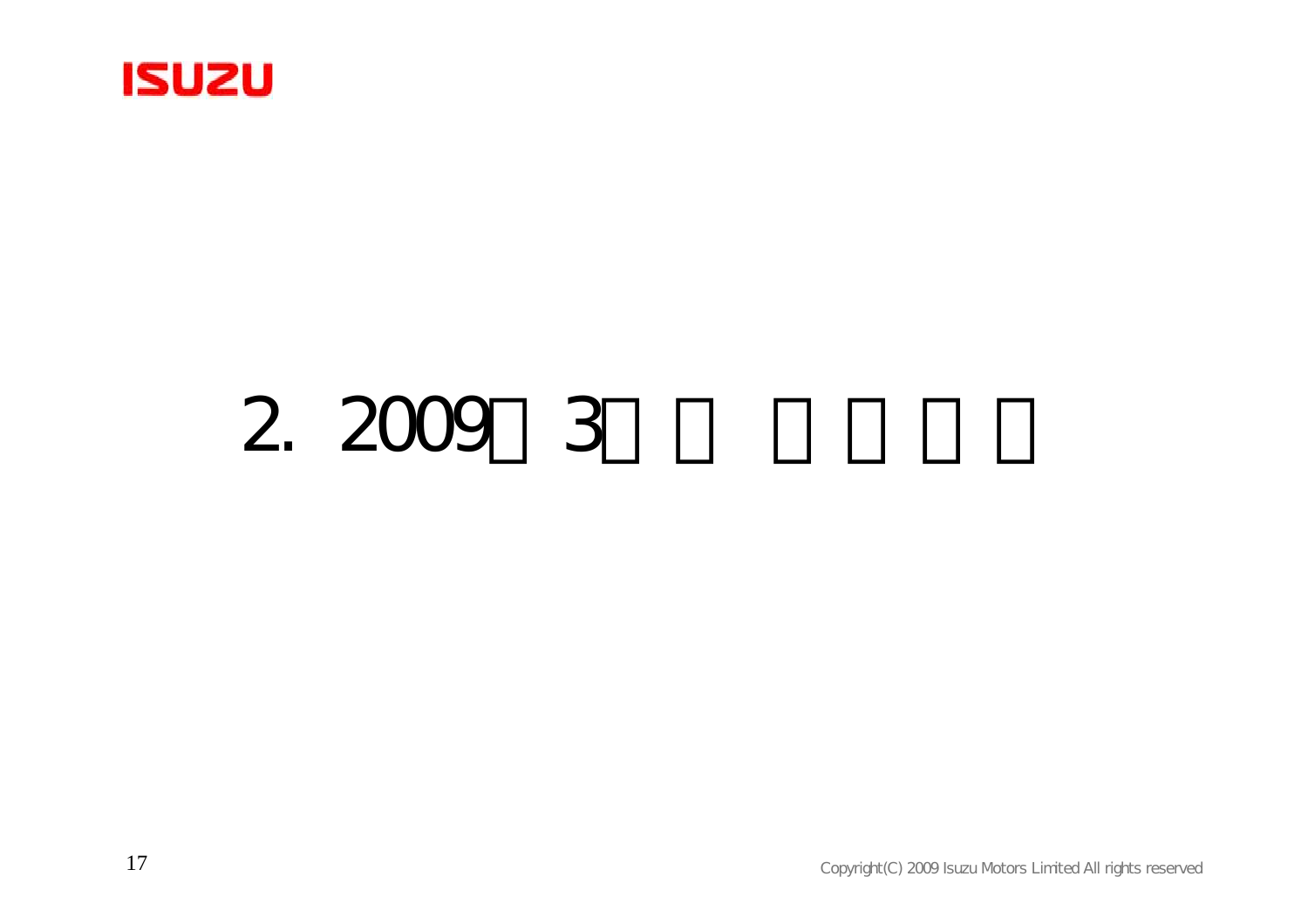

# 2. 2009 3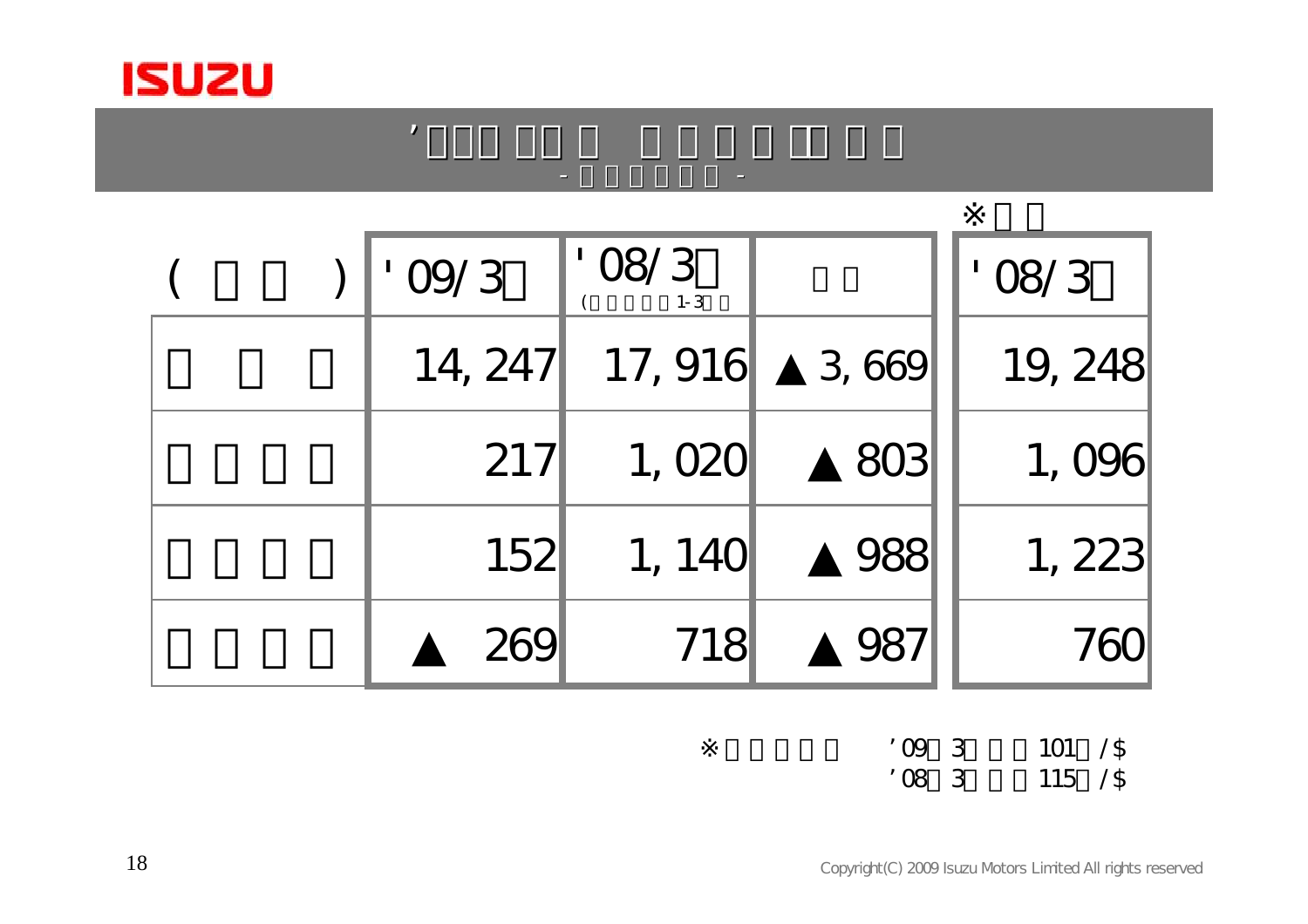

| 09/3    | 08/3<br>$1 - 3$ |        | 08/3    |
|---------|-----------------|--------|---------|
| 14, 247 | 17, 916         | 3, 669 | 19, 248 |
| 217     | 1,020           | 803    | 1,096   |
| 152     | 1, 140          | 988    | 1, 223  |
| 269     | 718             | 987    | 760     |

| 09 3        | 101 / \$     |  |
|-------------|--------------|--|
| <b>QB</b> 3 | $115 \t/$ \$ |  |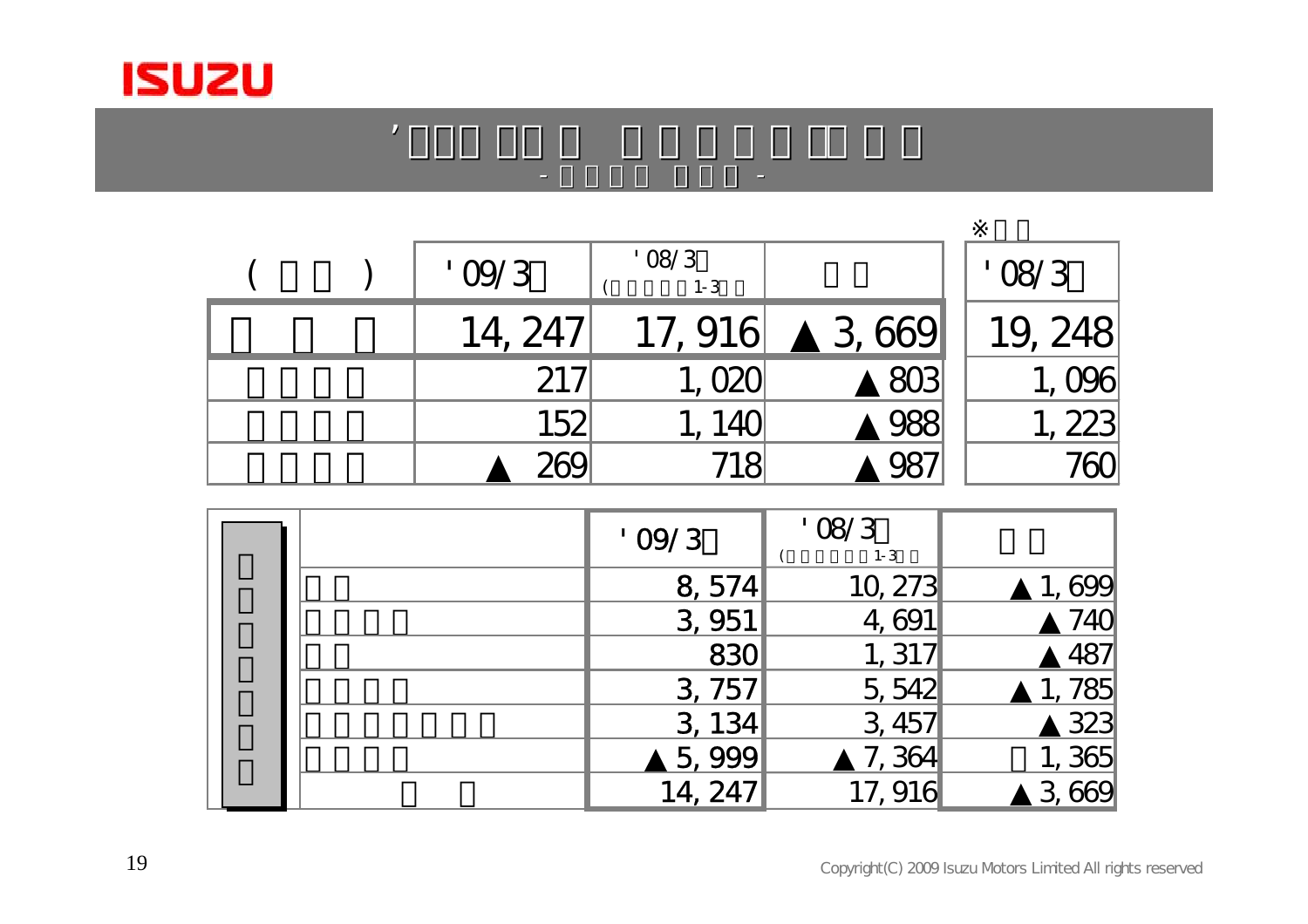

|  | $'$ 09/3 | 08/3<br>$1 - 3$ |       | $'$ 08/3 |
|--|----------|-----------------|-------|----------|
|  | 14, 247  | 17, 916         | 3,669 | 19, 248  |
|  | 217      | 1,020           | 303   | 1.096    |
|  | 152      | 140             | 88    | 223      |
|  |          | 7181            |       | 760      |

|  | $'$ 09/3 | 08/3<br>$1 - 3$ |                       |
|--|----------|-----------------|-----------------------|
|  | 8, 574   | 10, 273         |                       |
|  | 3, 951   | 4,691           | 699<br>740            |
|  | 830      | 1, 317          | 487                   |
|  | 3, 757   | 5, 542          | $\frac{1,785}{323}$   |
|  | 3, 134   | 3, 457          |                       |
|  | 5,999    | 7, 364          | $\frac{1,365}{3,669}$ |
|  | 14, 247  | 17, 916         |                       |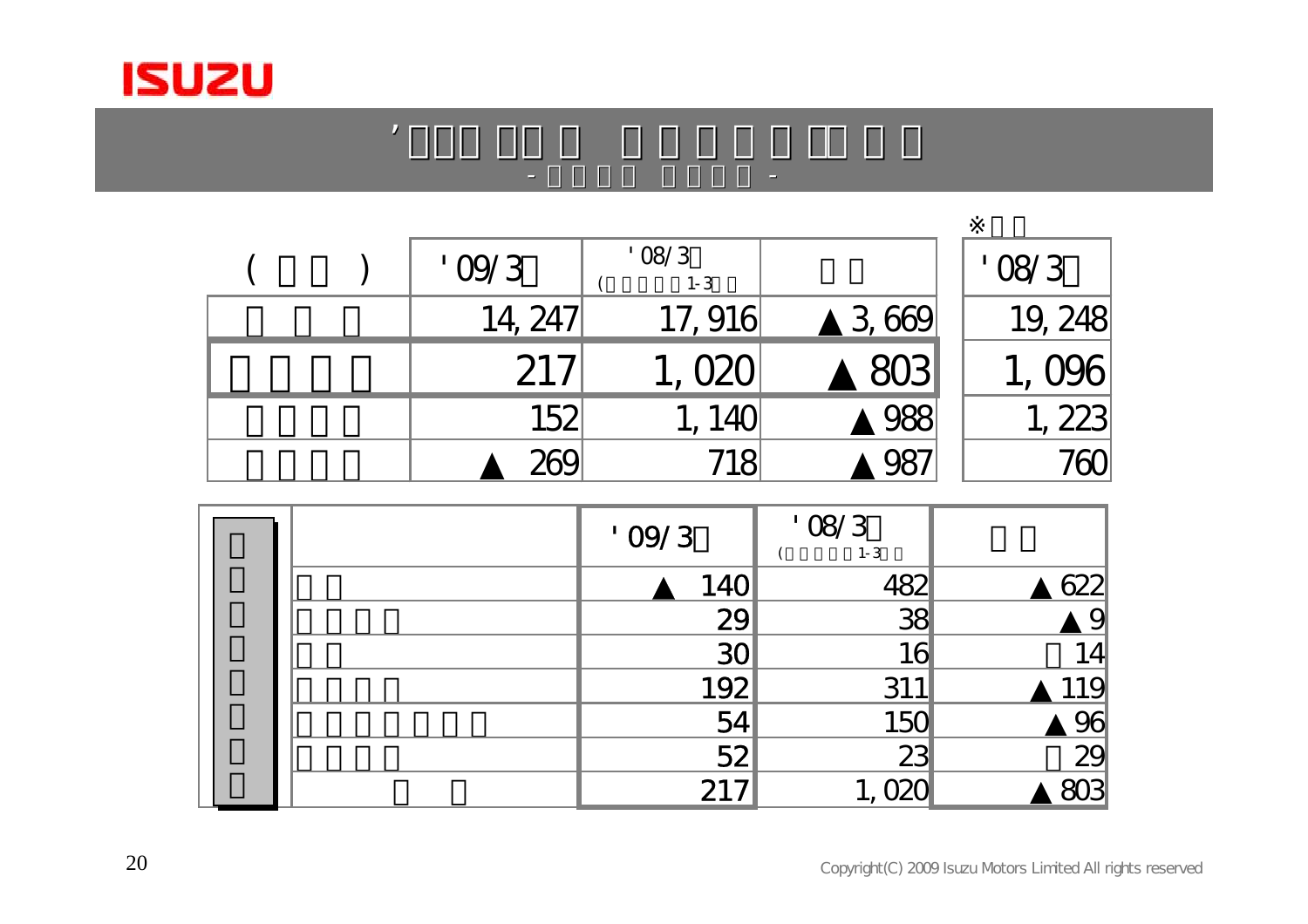

|  | $'$ 09/3        | 08/3<br>$1 - 3$ |       | 08/3    |
|--|-----------------|-----------------|-------|---------|
|  | 14, 247         | 17, 916         | 3,669 | 19, 248 |
|  | 21 <sub>1</sub> | <b>O2C</b>      |       |         |
|  | 152             | 1, 140          | 386   | 223     |
|  |                 | 11 R            |       | 760     |

|  | $'$ 09/3       | $'$ 08/3<br>$1 - 3$ |     |
|--|----------------|---------------------|-----|
|  | 140            |                     | ລາ  |
|  | 29             | $\mathcal{R}$       |     |
|  | 30             |                     |     |
|  | <u> 192</u>    |                     | ∩   |
|  | 54             | '5C                 | 96  |
|  | 52             | 23                  | 29  |
|  | $21^{\degree}$ |                     | 803 |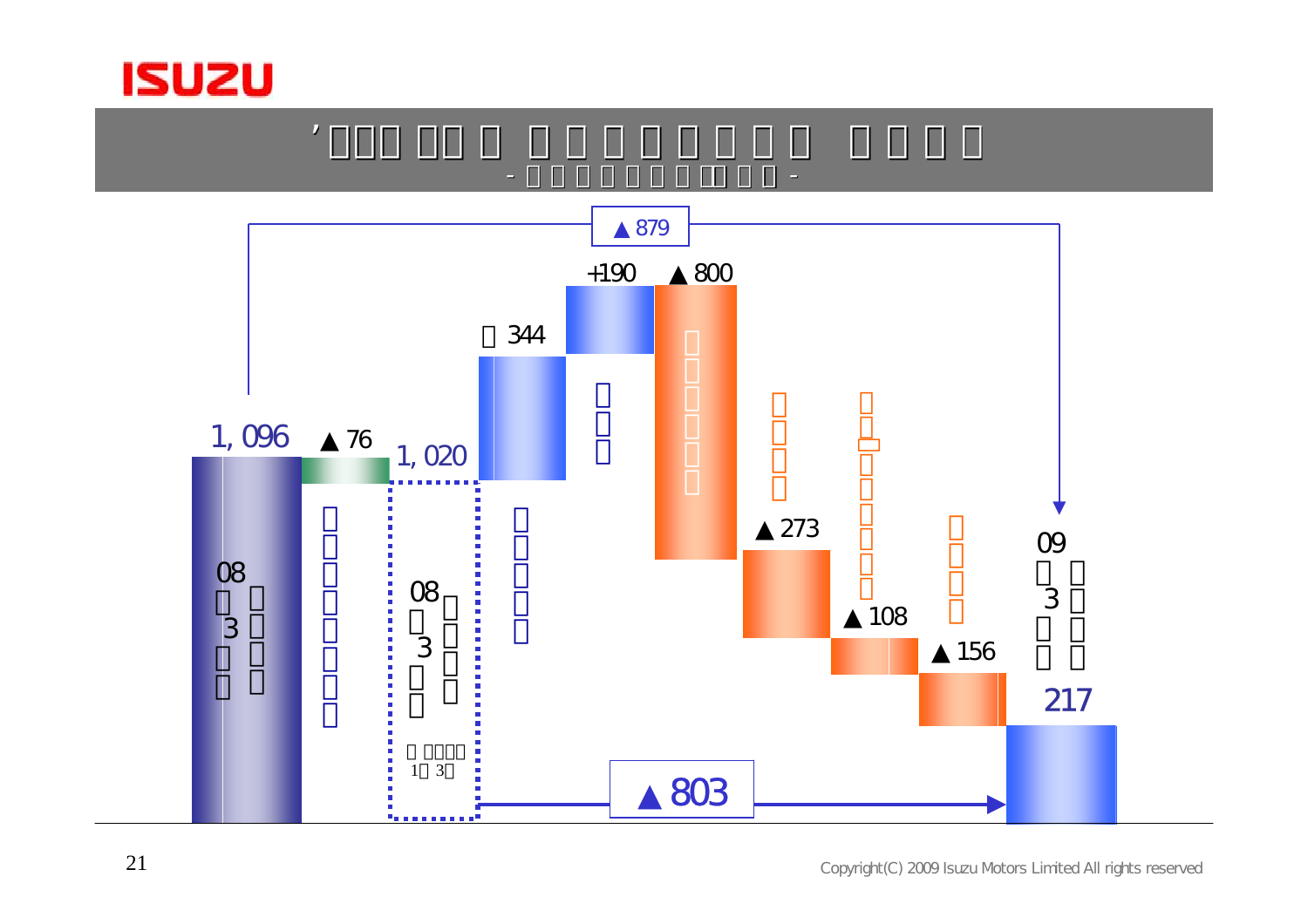

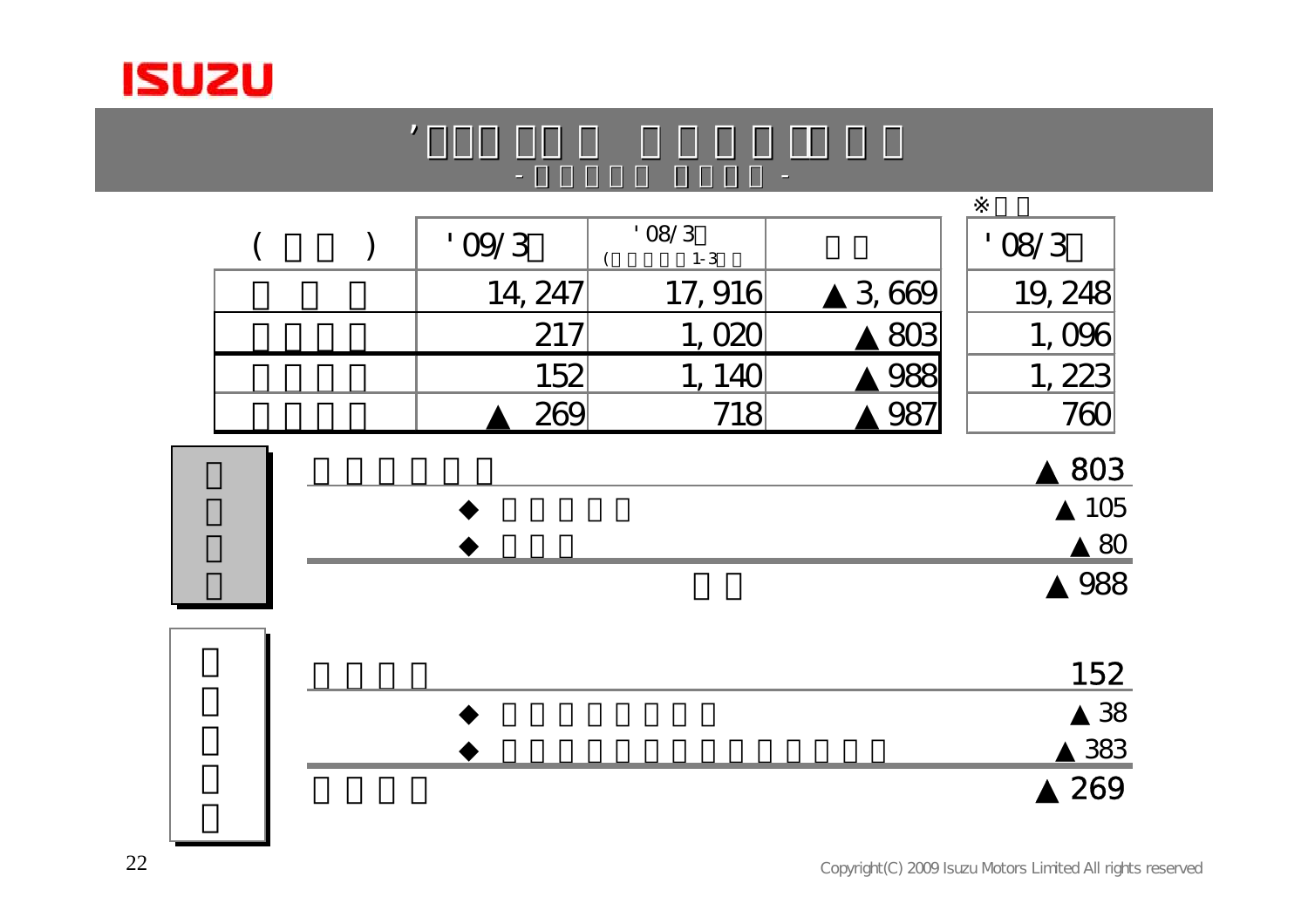

|  | $'$ O9/3 | $'$ 08/3<br>$1 - 3$ |       | 108/3      |
|--|----------|---------------------|-------|------------|
|  | 14, 247  | 17, 916             | 3,669 | 19, 248    |
|  | 217      | 1,020               | 803   | 1,096      |
|  | 152      | 1, 140              | 988   | 1, 223     |
|  | 269      | 718                 | 98    | 760        |
|  |          |                     |       | 803        |
|  |          |                     |       | 105        |
|  |          |                     |       | 80         |
|  |          |                     |       | 988        |
|  |          |                     |       |            |
|  |          |                     |       | <u>152</u> |
|  |          |                     |       | 38         |
|  |          |                     |       | 383        |
|  |          |                     |       | 269        |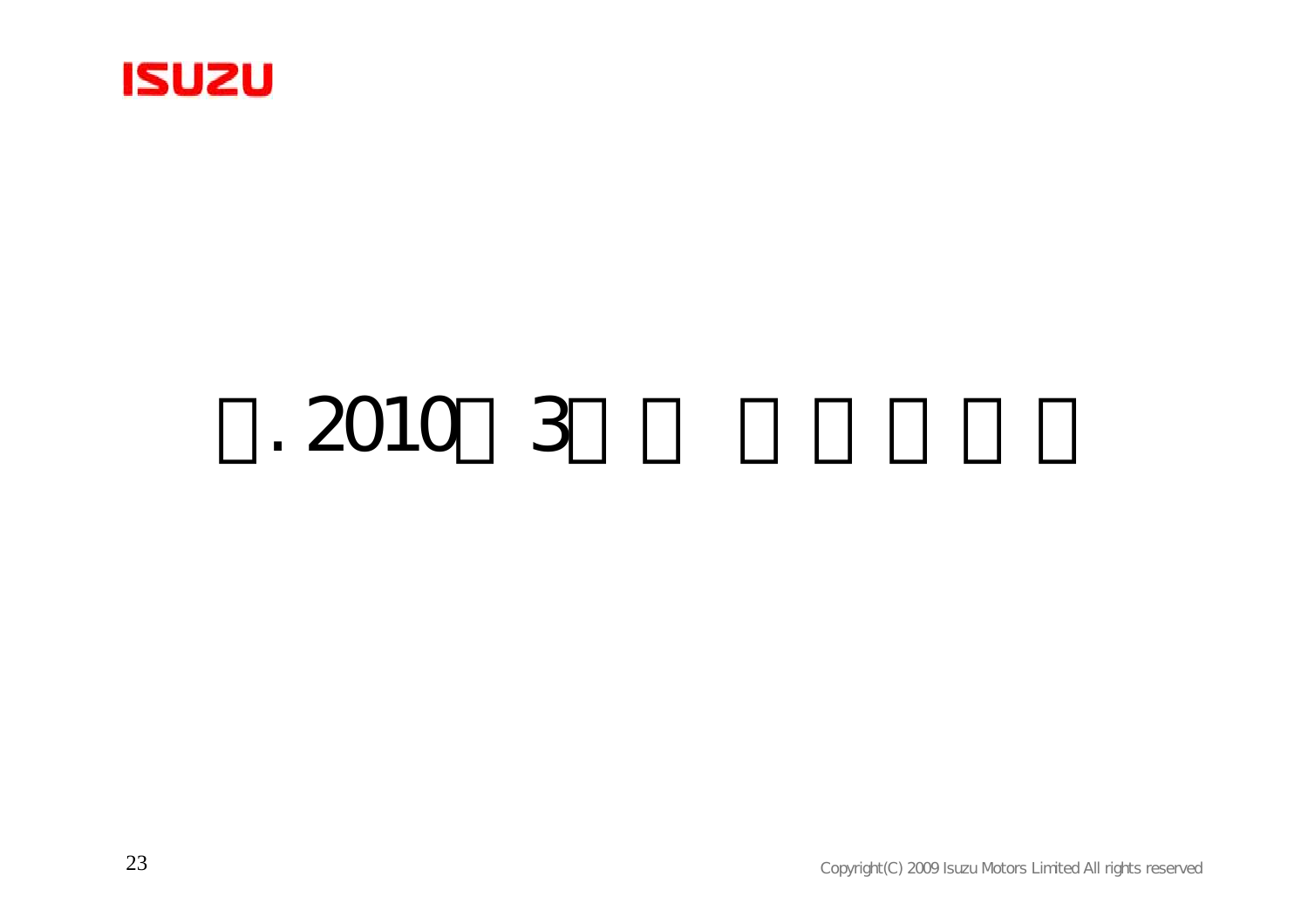

# $.2010<sup>-3</sup>$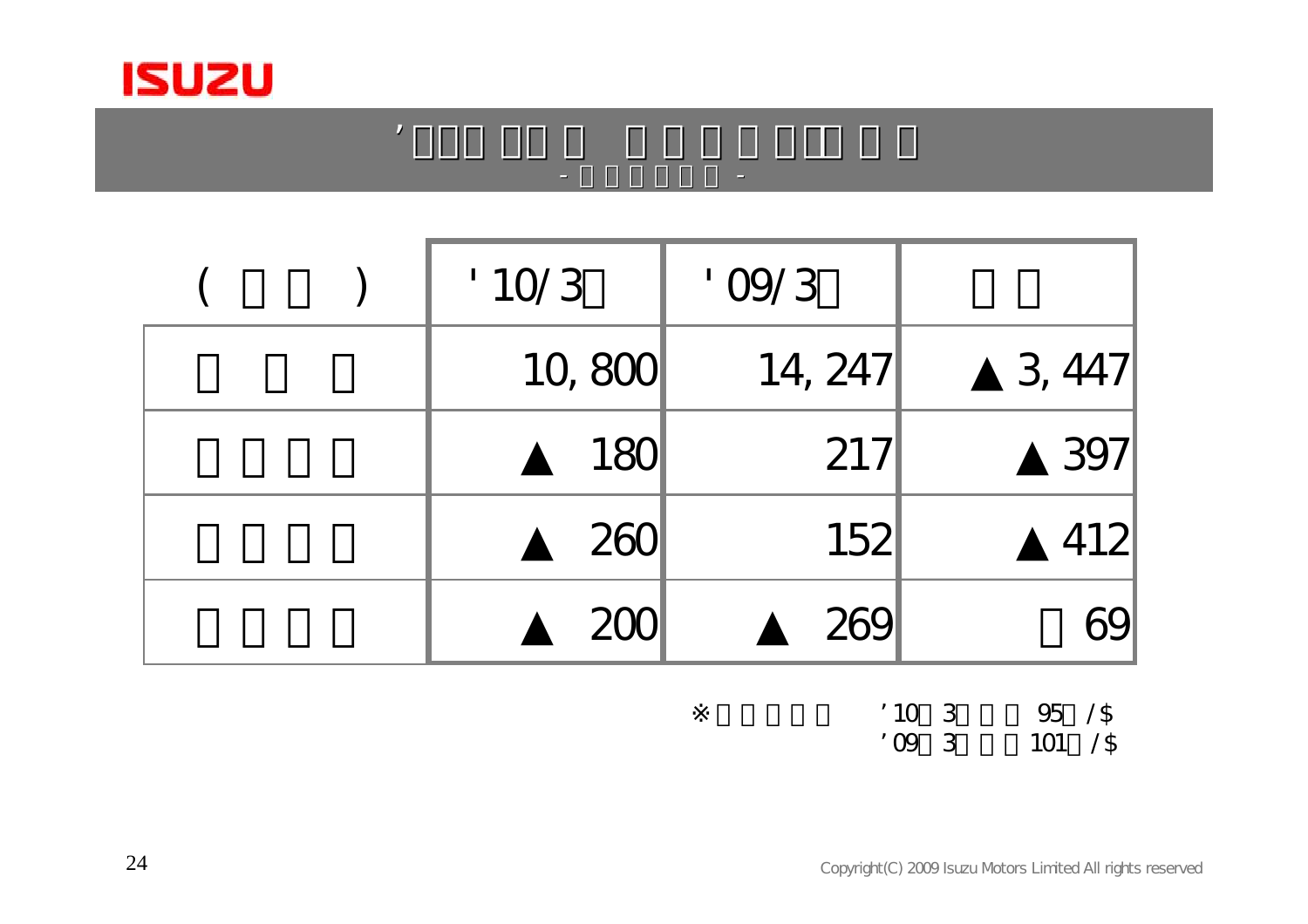

|  | 10/3   | $'$ 09/3 |        |
|--|--------|----------|--------|
|  | 10,800 | 14, 247  | 3, 447 |
|  | 180    | 217      | 397    |
|  | 260    | 152      | 412    |
|  | 20C    | 269      |        |

| 10 3         |          | 95/\$ |
|--------------|----------|-------|
| $O9 \quad 3$ | 101 / \$ |       |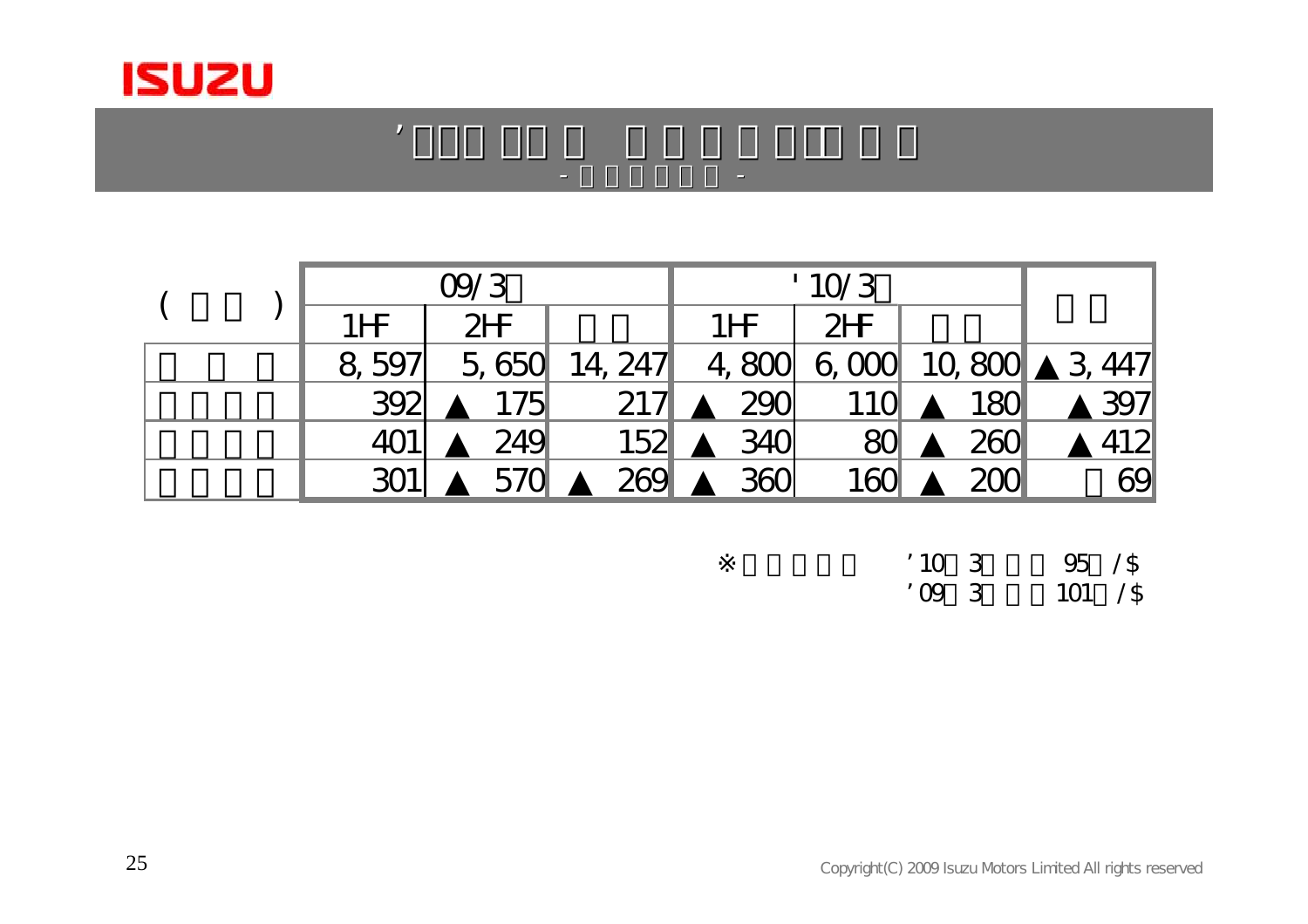

|                 | O9/3  |            |       | '10/3 |                |        |
|-----------------|-------|------------|-------|-------|----------------|--------|
| 1H              | 2F    |            | 1H    | 2F    |                |        |
| 8,597           | 5,650 | 247<br>14, | 4,800 |       | $6,000$ 10,800 | 3, 447 |
| 392             | 175   | 217        | 290   |       | 180            | 397    |
| 40 <sup>7</sup> | 249   | 152        | 340   |       | 260            | 412    |
| 301             | 5/U   | 269        | 360   | l 6C  |                | 69     |

| 10 3         |          | 95 /\$ |
|--------------|----------|--------|
| $O9 \quad 3$ | 101 / \$ |        |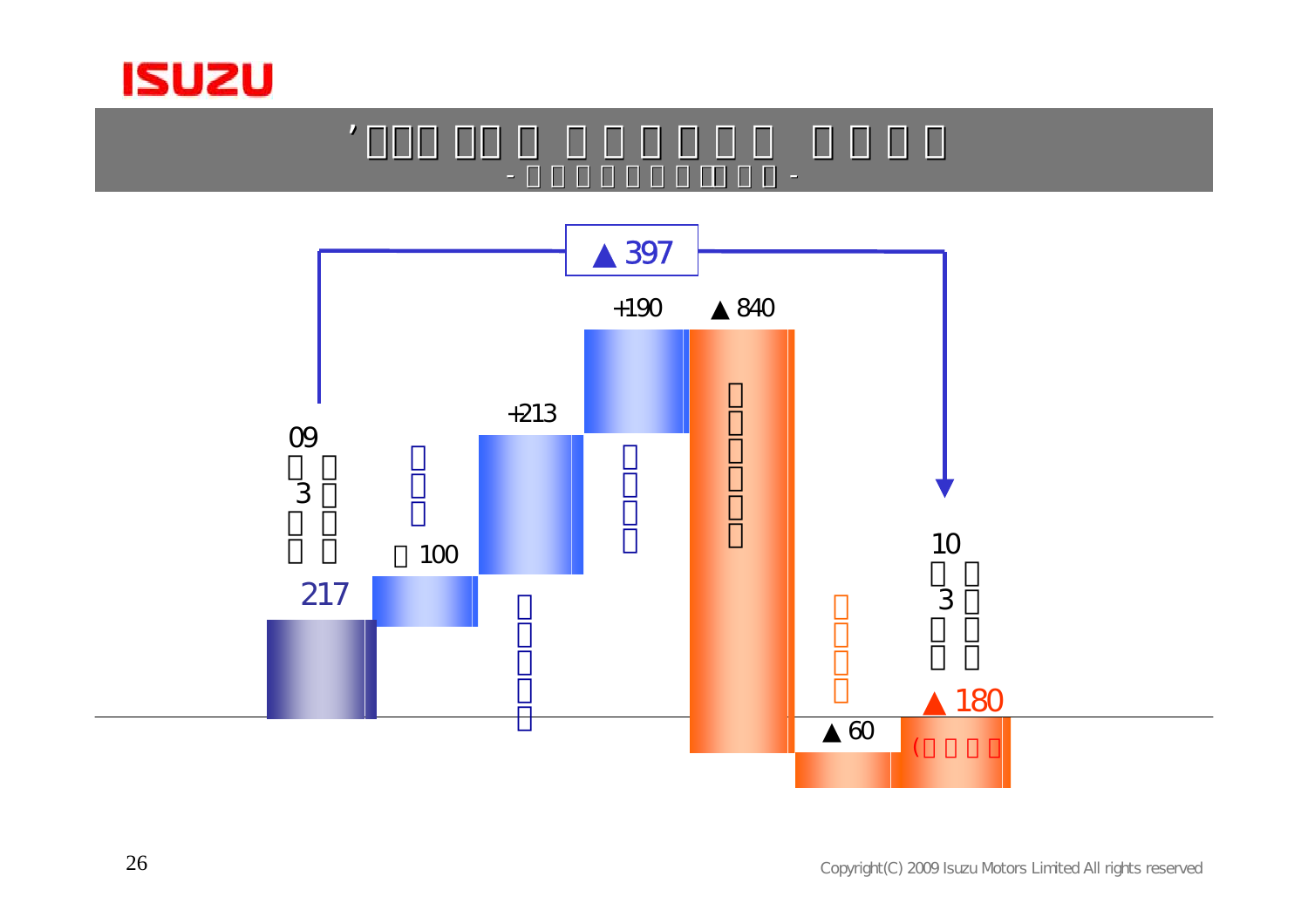

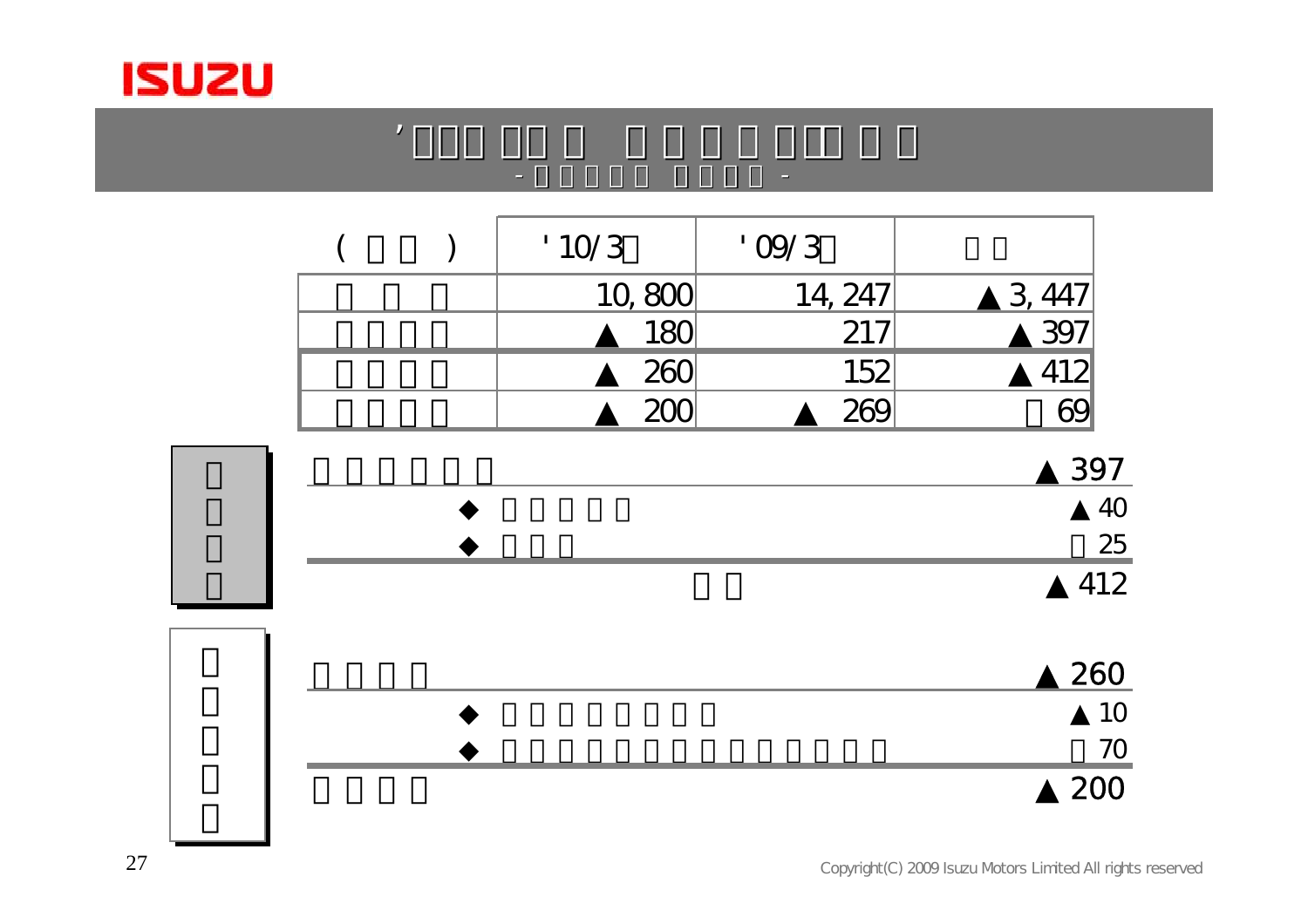

|  | 10/3   | 109/3   |  |
|--|--------|---------|--|
|  | 10,800 | 14, 247 |  |
|  |        |         |  |
|  | 260    | 152     |  |
|  |        |         |  |

|  | 397        |
|--|------------|
|  | 40         |
|  | 25         |
|  | 412        |
|  |            |
|  | <u>260</u> |
|  | 10         |
|  | 70         |
|  | 200        |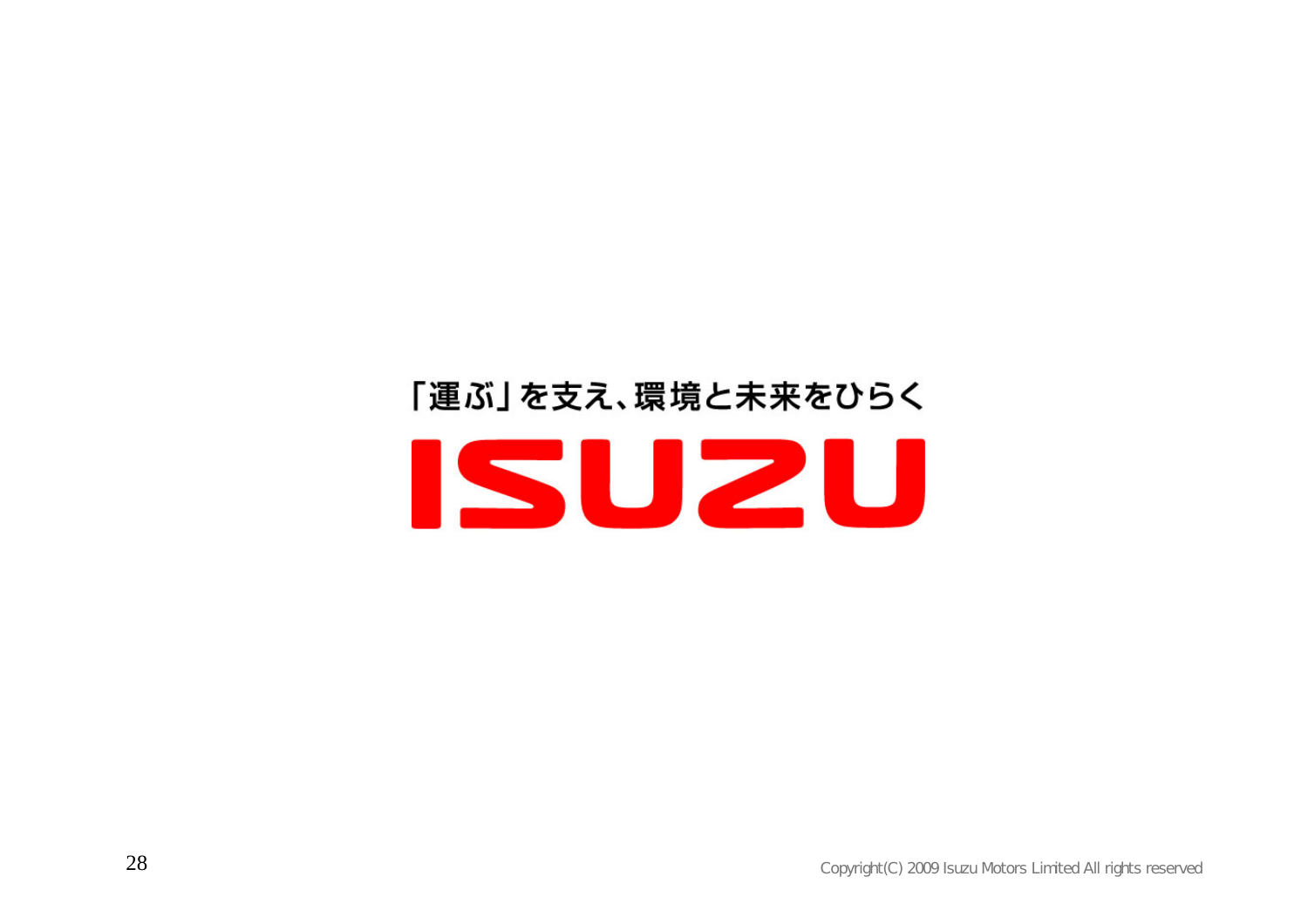# 「運ぶ」を支え、環境と未来をひらく ISUZU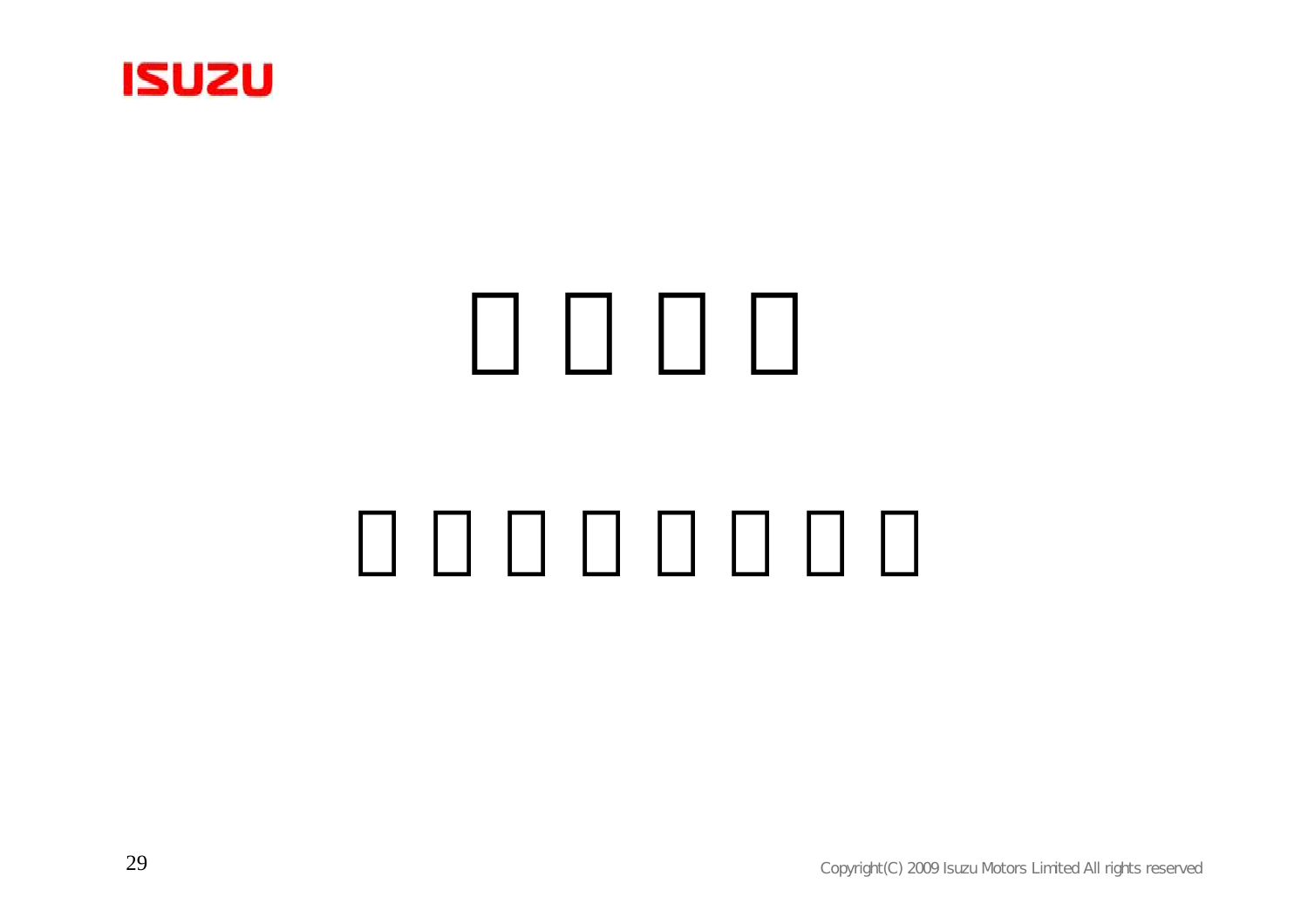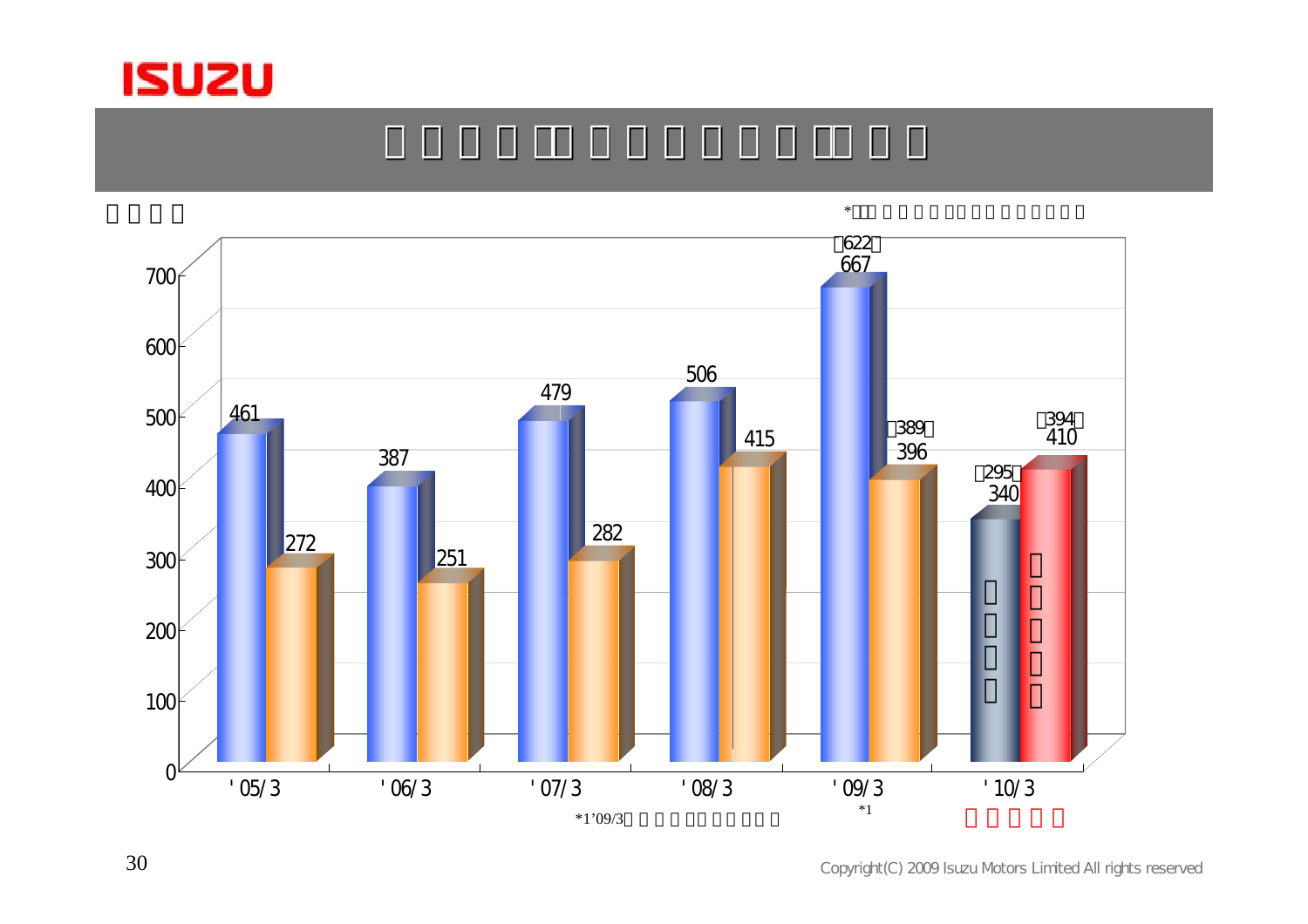

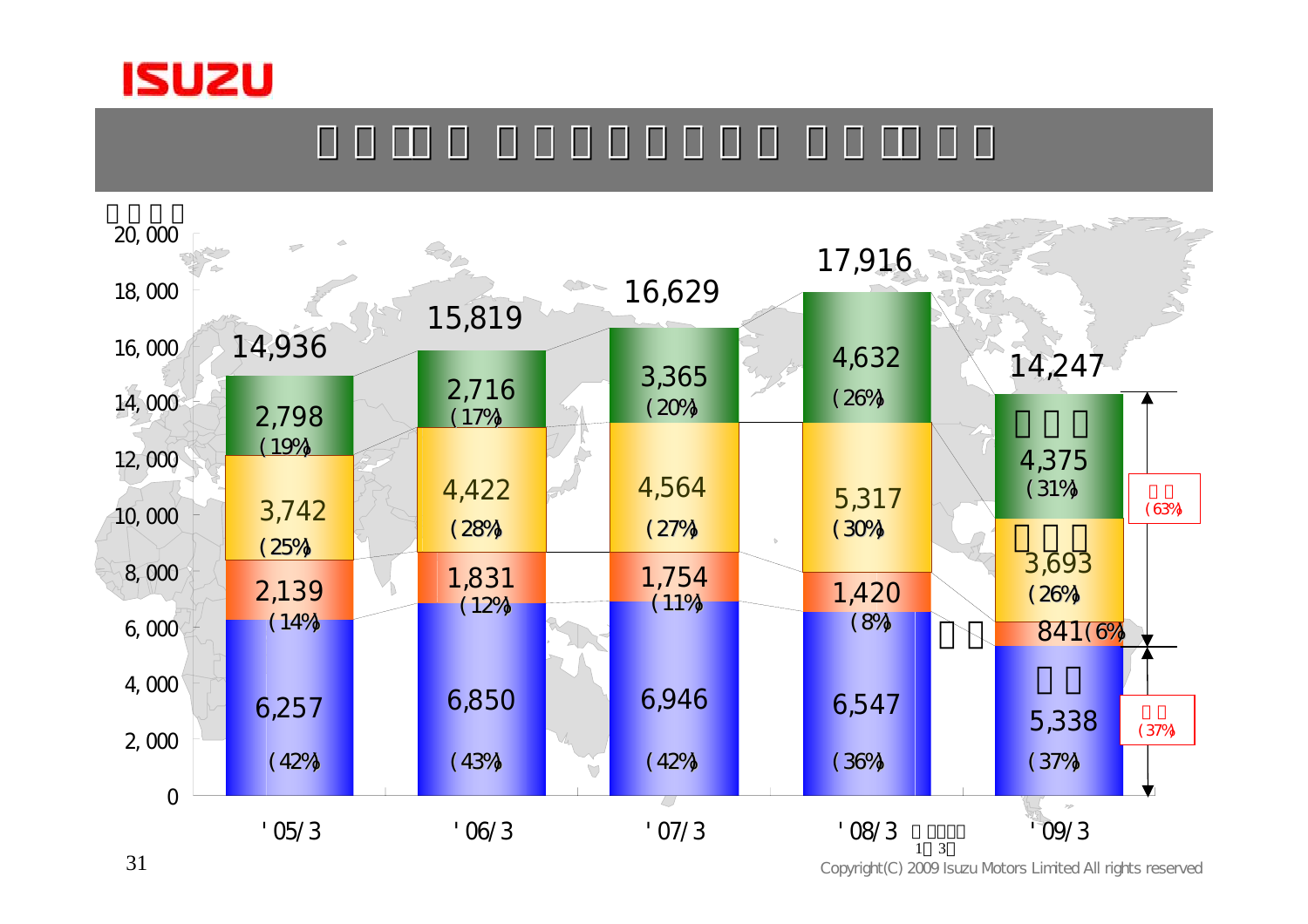



Copyright(C) 2009 Isuzu Motors Limited All rights reserved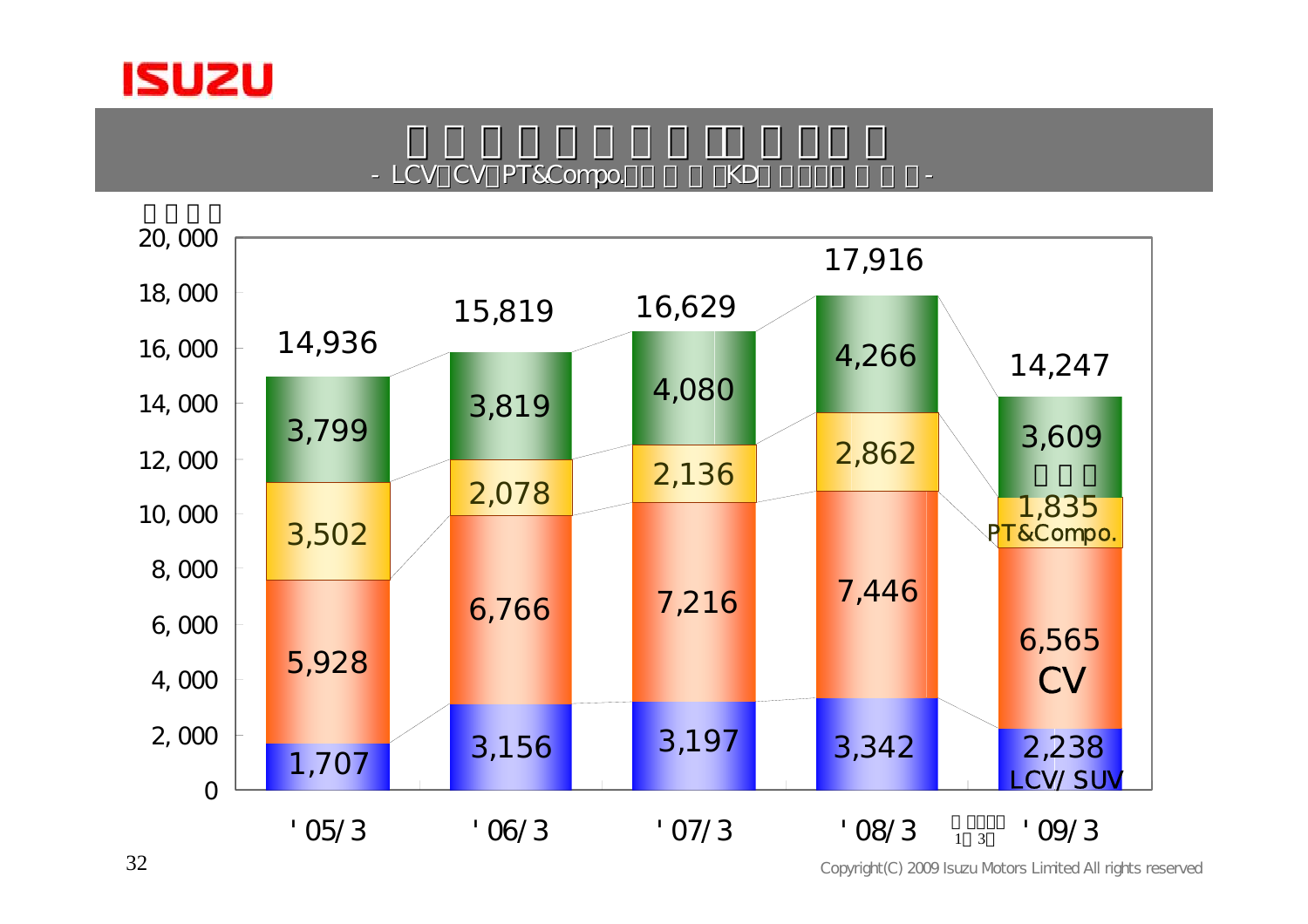

- LCV CV PT&Compo. KD - -



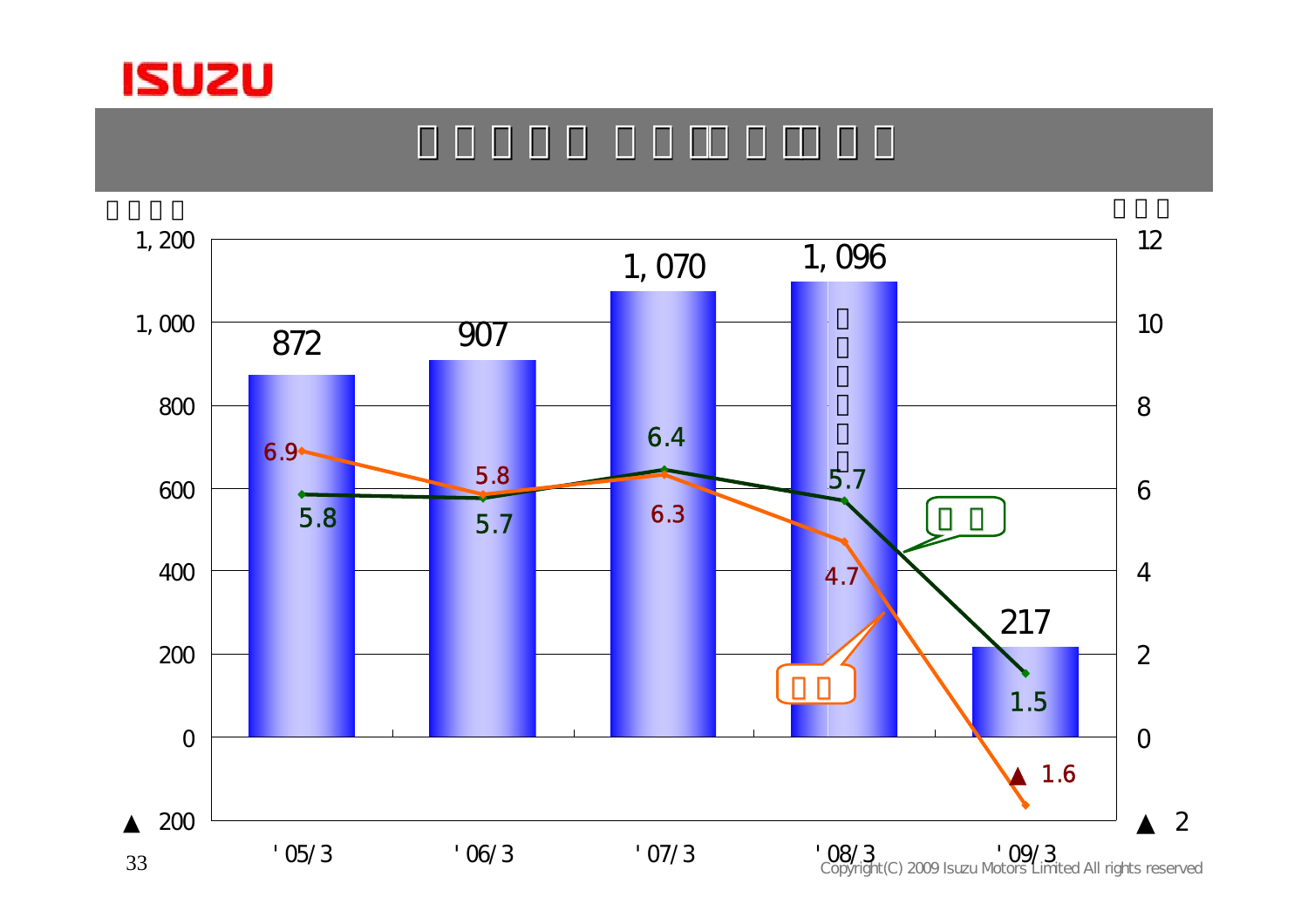

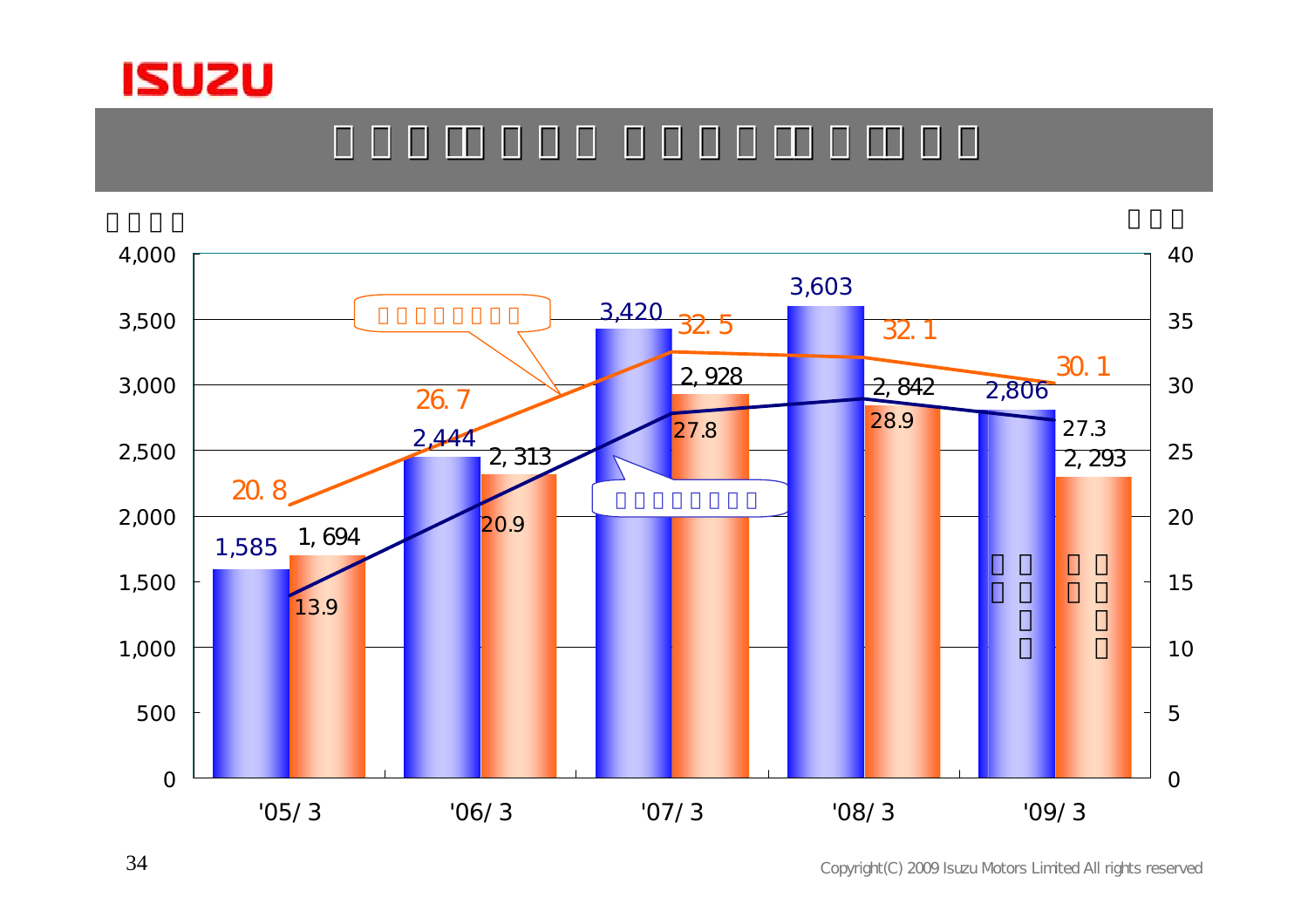

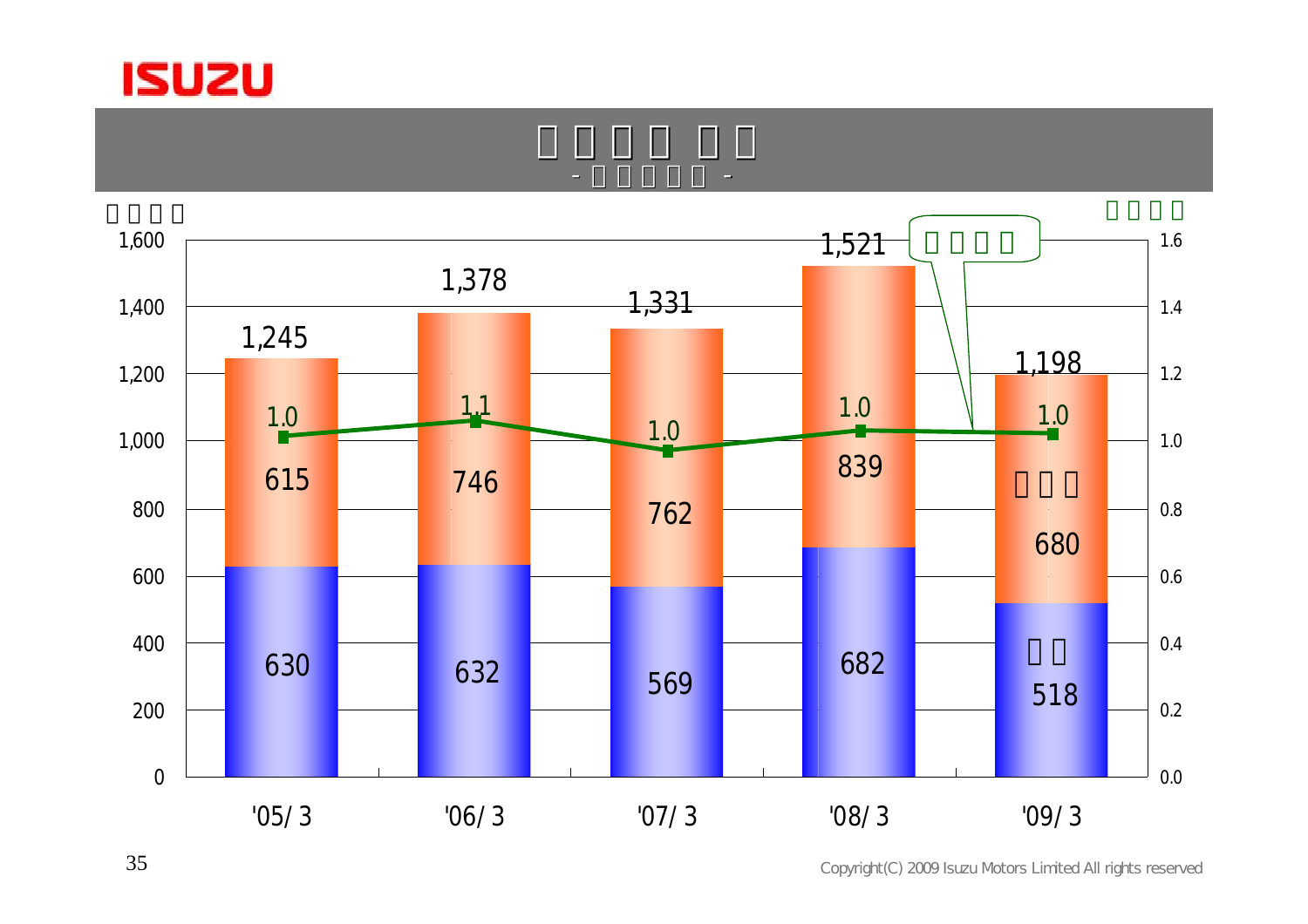